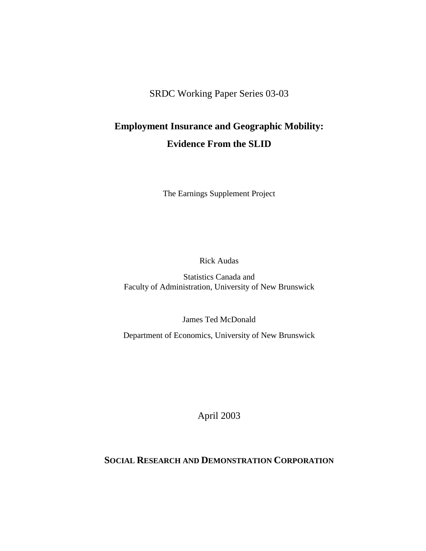SRDC Working Paper Series 03-03

## **Employment Insurance and Geographic Mobility: Evidence From the SLID**

The Earnings Supplement Project

Rick Audas

Statistics Canada and Faculty of Administration, University of New Brunswick

James Ted McDonald

Department of Economics, University of New Brunswick

April 2003

### **SOCIAL RESEARCH AND DEMONSTRATION CORPORATION**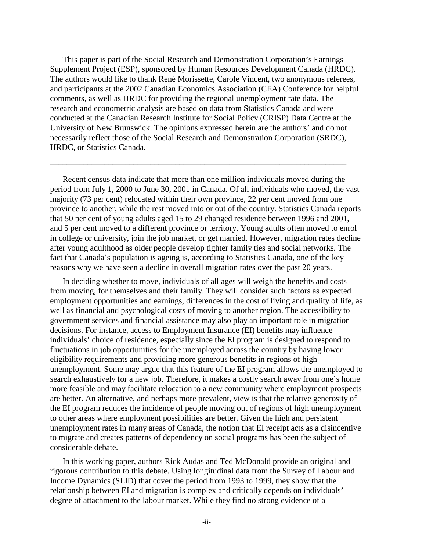This paper is part of the Social Research and Demonstration Corporation's Earnings Supplement Project (ESP), sponsored by Human Resources Development Canada (HRDC). The authors would like to thank René Morissette, Carole Vincent, two anonymous referees, and participants at the 2002 Canadian Economics Association (CEA) Conference for helpful comments, as well as HRDC for providing the regional unemployment rate data. The research and econometric analysis are based on data from Statistics Canada and were conducted at the Canadian Research Institute for Social Policy (CRISP) Data Centre at the University of New Brunswick. The opinions expressed herein are the authors' and do not necessarily reflect those of the Social Research and Demonstration Corporation (SRDC), HRDC, or Statistics Canada.

\_\_\_\_\_\_\_\_\_\_\_\_\_\_\_\_\_\_\_\_\_\_\_\_\_\_\_\_\_\_\_\_\_\_\_\_\_\_\_\_\_\_\_\_\_\_\_\_\_\_\_\_\_\_\_\_\_\_\_\_\_\_\_\_\_\_\_\_\_\_\_

Recent census data indicate that more than one million individuals moved during the period from July 1, 2000 to June 30, 2001 in Canada. Of all individuals who moved, the vast majority (73 per cent) relocated within their own province, 22 per cent moved from one province to another, while the rest moved into or out of the country. Statistics Canada reports that 50 per cent of young adults aged 15 to 29 changed residence between 1996 and 2001, and 5 per cent moved to a different province or territory. Young adults often moved to enrol in college or university, join the job market, or get married. However, migration rates decline after young adulthood as older people develop tighter family ties and social networks. The fact that Canada's population is ageing is, according to Statistics Canada, one of the key reasons why we have seen a decline in overall migration rates over the past 20 years.

In deciding whether to move, individuals of all ages will weigh the benefits and costs from moving, for themselves and their family. They will consider such factors as expected employment opportunities and earnings, differences in the cost of living and quality of life, as well as financial and psychological costs of moving to another region. The accessibility to government services and financial assistance may also play an important role in migration decisions. For instance, access to Employment Insurance (EI) benefits may influence individuals' choice of residence, especially since the EI program is designed to respond to fluctuations in job opportunities for the unemployed across the country by having lower eligibility requirements and providing more generous benefits in regions of high unemployment. Some may argue that this feature of the EI program allows the unemployed to search exhaustively for a new job. Therefore, it makes a costly search away from one's home more feasible and may facilitate relocation to a new community where employment prospects are better. An alternative, and perhaps more prevalent, view is that the relative generosity of the EI program reduces the incidence of people moving out of regions of high unemployment to other areas where employment possibilities are better. Given the high and persistent unemployment rates in many areas of Canada, the notion that EI receipt acts as a disincentive to migrate and creates patterns of dependency on social programs has been the subject of considerable debate.

In this working paper, authors Rick Audas and Ted McDonald provide an original and rigorous contribution to this debate. Using longitudinal data from the Survey of Labour and Income Dynamics (SLID) that cover the period from 1993 to 1999, they show that the relationship between EI and migration is complex and critically depends on individuals' degree of attachment to the labour market. While they find no strong evidence of a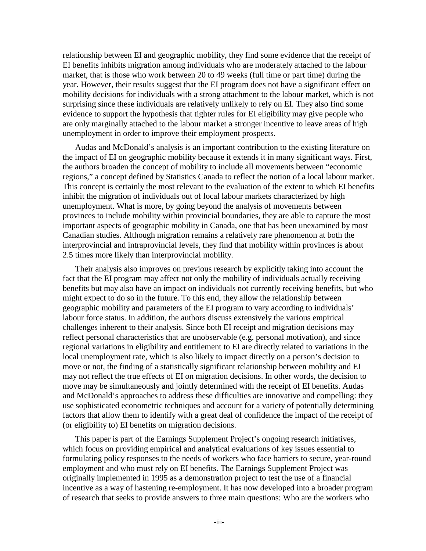relationship between EI and geographic mobility, they find some evidence that the receipt of EI benefits inhibits migration among individuals who are moderately attached to the labour market, that is those who work between 20 to 49 weeks (full time or part time) during the year. However, their results suggest that the EI program does not have a significant effect on mobility decisions for individuals with a strong attachment to the labour market, which is not surprising since these individuals are relatively unlikely to rely on EI. They also find some evidence to support the hypothesis that tighter rules for EI eligibility may give people who are only marginally attached to the labour market a stronger incentive to leave areas of high unemployment in order to improve their employment prospects.

Audas and McDonald's analysis is an important contribution to the existing literature on the impact of EI on geographic mobility because it extends it in many significant ways. First, the authors broaden the concept of mobility to include all movements between "economic regions," a concept defined by Statistics Canada to reflect the notion of a local labour market. This concept is certainly the most relevant to the evaluation of the extent to which EI benefits inhibit the migration of individuals out of local labour markets characterized by high unemployment. What is more, by going beyond the analysis of movements between provinces to include mobility within provincial boundaries, they are able to capture the most important aspects of geographic mobility in Canada, one that has been unexamined by most Canadian studies. Although migration remains a relatively rare phenomenon at both the interprovincial and intraprovincial levels, they find that mobility within provinces is about 2.5 times more likely than interprovincial mobility.

Their analysis also improves on previous research by explicitly taking into account the fact that the EI program may affect not only the mobility of individuals actually receiving benefits but may also have an impact on individuals not currently receiving benefits, but who might expect to do so in the future. To this end, they allow the relationship between geographic mobility and parameters of the EI program to vary according to individuals' labour force status. In addition, the authors discuss extensively the various empirical challenges inherent to their analysis. Since both EI receipt and migration decisions may reflect personal characteristics that are unobservable (e.g. personal motivation), and since regional variations in eligibility and entitlement to EI are directly related to variations in the local unemployment rate, which is also likely to impact directly on a person's decision to move or not, the finding of a statistically significant relationship between mobility and EI may not reflect the true effects of EI on migration decisions. In other words, the decision to move may be simultaneously and jointly determined with the receipt of EI benefits. Audas and McDonald's approaches to address these difficulties are innovative and compelling: they use sophisticated econometric techniques and account for a variety of potentially determining factors that allow them to identify with a great deal of confidence the impact of the receipt of (or eligibility to) EI benefits on migration decisions.

This paper is part of the Earnings Supplement Project's ongoing research initiatives, which focus on providing empirical and analytical evaluations of key issues essential to formulating policy responses to the needs of workers who face barriers to secure, year-round employment and who must rely on EI benefits. The Earnings Supplement Project was originally implemented in 1995 as a demonstration project to test the use of a financial incentive as a way of hastening re-employment. It has now developed into a broader program of research that seeks to provide answers to three main questions: Who are the workers who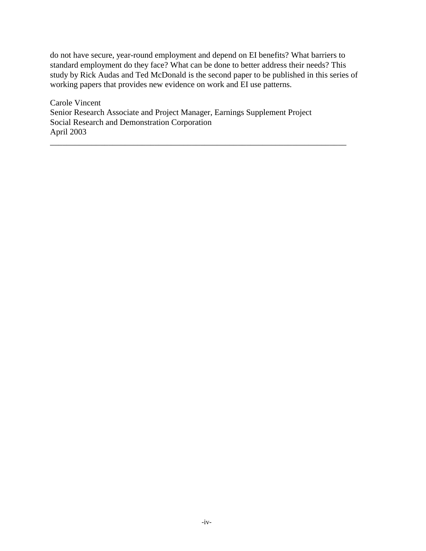do not have secure, year-round employment and depend on EI benefits? What barriers to standard employment do they face? What can be done to better address their needs? This study by Rick Audas and Ted McDonald is the second paper to be published in this series of working papers that provides new evidence on work and EI use patterns.

\_\_\_\_\_\_\_\_\_\_\_\_\_\_\_\_\_\_\_\_\_\_\_\_\_\_\_\_\_\_\_\_\_\_\_\_\_\_\_\_\_\_\_\_\_\_\_\_\_\_\_\_\_\_\_\_\_\_\_\_\_\_\_\_\_\_\_\_\_\_\_

Carole Vincent Senior Research Associate and Project Manager, Earnings Supplement Project Social Research and Demonstration Corporation April 2003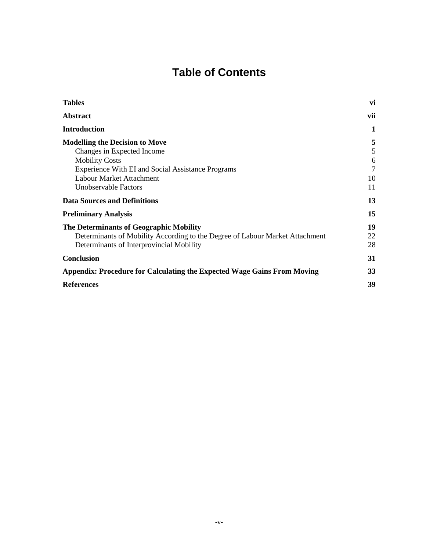# **Table of Contents**

| <b>Tables</b>                                                                | vi  |
|------------------------------------------------------------------------------|-----|
| <b>Abstract</b>                                                              | vii |
| <b>Introduction</b>                                                          | 1   |
| <b>Modelling the Decision to Move</b>                                        | 5   |
| Changes in Expected Income                                                   | 5   |
| <b>Mobility Costs</b>                                                        | 6   |
| Experience With EI and Social Assistance Programs                            | 7   |
| Labour Market Attachment                                                     | 10  |
| Unobservable Factors                                                         | 11  |
| <b>Data Sources and Definitions</b>                                          | 13  |
| <b>Preliminary Analysis</b>                                                  | 15  |
| The Determinants of Geographic Mobility                                      | 19  |
| Determinants of Mobility According to the Degree of Labour Market Attachment | 22  |
| Determinants of Interprovincial Mobility                                     | 28  |
| <b>Conclusion</b>                                                            | 31  |
| Appendix: Procedure for Calculating the Expected Wage Gains From Moving      | 33  |
| <b>References</b>                                                            | 39  |
|                                                                              |     |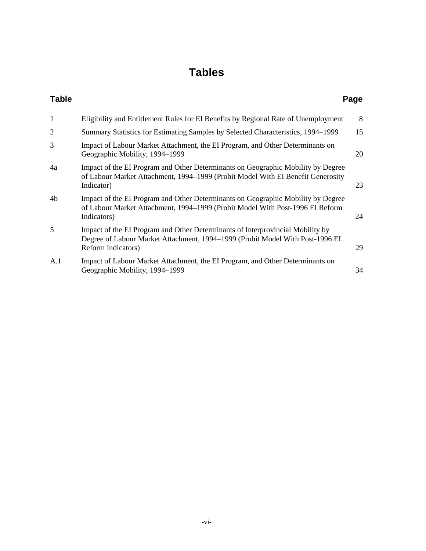# **Tables**

| <b>Table</b>   |                                                                                                                                                                                       | Page |
|----------------|---------------------------------------------------------------------------------------------------------------------------------------------------------------------------------------|------|
| $\mathbf{1}$   | Eligibility and Entitlement Rules for EI Benefits by Regional Rate of Unemployment                                                                                                    | 8    |
| $\overline{2}$ | Summary Statistics for Estimating Samples by Selected Characteristics, 1994–1999                                                                                                      | 15   |
| 3              | Impact of Labour Market Attachment, the EI Program, and Other Determinants on<br>Geographic Mobility, 1994–1999                                                                       | 20   |
| 4a             | Impact of the EI Program and Other Determinants on Geographic Mobility by Degree<br>of Labour Market Attachment, 1994–1999 (Probit Model With EI Benefit Generosity<br>Indicator)     | 23   |
| 4b             | Impact of the EI Program and Other Determinants on Geographic Mobility by Degree<br>of Labour Market Attachment, 1994–1999 (Probit Model With Post-1996 EI Reform<br>Indicators)      | 24   |
| 5              | Impact of the EI Program and Other Determinants of Interprovincial Mobility by<br>Degree of Labour Market Attachment, 1994–1999 (Probit Model With Post-1996 EI<br>Reform Indicators) | 29   |
| A.1            | Impact of Labour Market Attachment, the EI Program, and Other Determinants on<br>Geographic Mobility, 1994–1999                                                                       | 34   |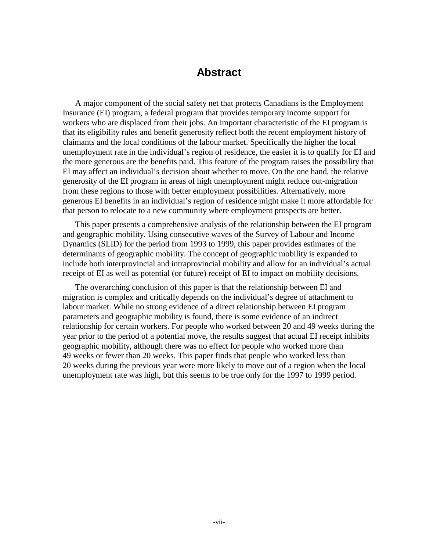### **Abstract**

A major component of the social safety net that protects Canadians is the Employment Insurance (EI) program, a federal program that provides temporary income support for workers who are displaced from their jobs. An important characteristic of the EI program is that its eligibility rules and benefit generosity reflect both the recent employment history of claimants and the local conditions of the labour market. Specifically the higher the local unemployment rate in the individual's region of residence, the easier it is to qualify for EI and the more generous are the benefits paid. This feature of the program raises the possibility that EI may affect an individual's decision about whether to move. On the one hand, the relative generosity of the EI program in areas of high unemployment might reduce out-migration from these regions to those with better employment possibilities. Alternatively, more generous EI benefits in an individual's region of residence might make it more affordable for that person to relocate to a new community where employment prospects are better.

This paper presents a comprehensive analysis of the relationship between the EI program and geographic mobility. Using consecutive waves of the Survey of Labour and Income Dynamics (SLID) for the period from 1993 to 1999, this paper provides estimates of the determinants of geographic mobility. The concept of geographic mobility is expanded to include both interprovincial and intraprovincial mobility and allow for an individual's actual receipt of EI as well as potential (or future) receipt of EI to impact on mobility decisions.

The overarching conclusion of this paper is that the relationship between EI and migration is complex and critically depends on the individual's degree of attachment to labour market. While no strong evidence of a direct relationship between EI program parameters and geographic mobility is found, there is some evidence of an indirect relationship for certain workers. For people who worked between 20 and 49 weeks during the year prior to the period of a potential move, the results suggest that actual EI receipt inhibits geographic mobility, although there was no effect for people who worked more than 49 weeks or fewer than 20 weeks. This paper finds that people who worked less than 20 weeks during the previous year were more likely to move out of a region when the local unemployment rate was high, but this seems to be true only for the 1997 to 1999 period.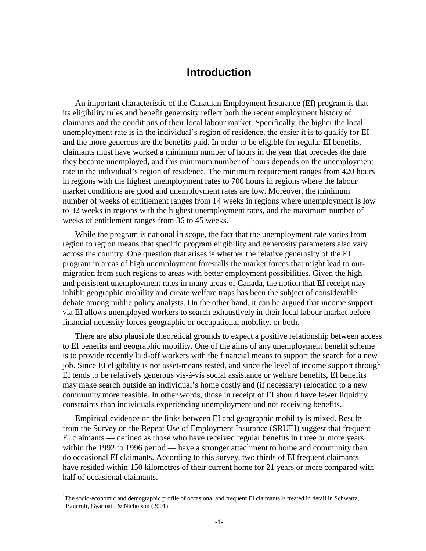### **Introduction**

An important characteristic of the Canadian Employment Insurance (EI) program is that its eligibility rules and benefit generosity reflect both the recent employment history of claimants and the conditions of their local labour market. Specifically, the higher the local unemployment rate is in the individual's region of residence, the easier it is to qualify for EI and the more generous are the benefits paid. In order to be eligible for regular EI benefits, claimants must have worked a minimum number of hours in the year that precedes the date they became unemployed, and this minimum number of hours depends on the unemployment rate in the individual's region of residence. The minimum requirement ranges from 420 hours in regions with the highest unemployment rates to 700 hours in regions where the labour market conditions are good and unemployment rates are low. Moreover, the minimum number of weeks of entitlement ranges from 14 weeks in regions where unemployment is low to 32 weeks in regions with the highest unemployment rates, and the maximum number of weeks of entitlement ranges from 36 to 45 weeks.

While the program is national in scope, the fact that the unemployment rate varies from region to region means that specific program eligibility and generosity parameters also vary across the country. One question that arises is whether the relative generosity of the EI program in areas of high unemployment forestalls the market forces that might lead to outmigration from such regions to areas with better employment possibilities. Given the high and persistent unemployment rates in many areas of Canada, the notion that EI receipt may inhibit geographic mobility and create welfare traps has been the subject of considerable debate among public policy analysts. On the other hand, it can be argued that income support via EI allows unemployed workers to search exhaustively in their local labour market before financial necessity forces geographic or occupational mobility, or both.

There are also plausible theoretical grounds to expect a positive relationship between access to EI benefits and geographic mobility. One of the aims of any unemployment benefit scheme is to provide recently laid-off workers with the financial means to support the search for a new job. Since EI eligibility is not asset-means tested, and since the level of income support through EI tends to be relatively generous vis-à-vis social assistance or welfare benefits, EI benefits may make search outside an individual's home costly and (if necessary) relocation to a new community more feasible. In other words, those in receipt of EI should have fewer liquidity constraints than individuals experiencing unemployment and not receiving benefits.

Empirical evidence on the links between EI and geographic mobility is mixed. Results from the Survey on the Repeat Use of Employment Insurance (SRUEI) suggest that frequent EI claimants — defined as those who have received regular benefits in three or more years within the 1992 to 1996 period — have a stronger attachment to home and community than do occasional EI claimants. According to this survey, two thirds of EI frequent claimants have resided within 150 kilometres of their current home for 21 years or more compared with half of occasional claimants.<sup>1</sup>

<sup>&</sup>lt;sup>1</sup>The socio-economic and demographic profile of occasional and frequent EI claimants is treated in detail in Schwartz, Bancroft, Gyarmati, & Nicholson (2001).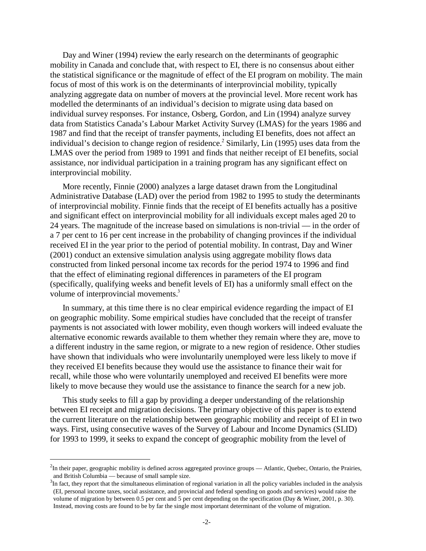Day and Winer (1994) review the early research on the determinants of geographic mobility in Canada and conclude that, with respect to EI, there is no consensus about either the statistical significance or the magnitude of effect of the EI program on mobility. The main focus of most of this work is on the determinants of interprovincial mobility, typically analyzing aggregate data on number of movers at the provincial level. More recent work has modelled the determinants of an individual's decision to migrate using data based on individual survey responses. For instance, Osberg, Gordon, and Lin (1994) analyze survey data from Statistics Canada's Labour Market Activity Survey (LMAS) for the years 1986 and 1987 and find that the receipt of transfer payments, including EI benefits, does not affect an individual's decision to change region of residence.<sup>2</sup> Similarly, Lin (1995) uses data from the LMAS over the period from 1989 to 1991 and finds that neither receipt of EI benefits, social assistance, nor individual participation in a training program has any significant effect on interprovincial mobility.

More recently, Finnie (2000) analyzes a large dataset drawn from the Longitudinal Administrative Database (LAD) over the period from 1982 to 1995 to study the determinants of interprovincial mobility. Finnie finds that the receipt of EI benefits actually has a positive and significant effect on interprovincial mobility for all individuals except males aged 20 to 24 years. The magnitude of the increase based on simulations is non-trivial — in the order of a 7 per cent to 16 per cent increase in the probability of changing provinces if the individual received EI in the year prior to the period of potential mobility. In contrast, Day and Winer (2001) conduct an extensive simulation analysis using aggregate mobility flows data constructed from linked personal income tax records for the period 1974 to 1996 and find that the effect of eliminating regional differences in parameters of the EI program (specifically, qualifying weeks and benefit levels of EI) has a uniformly small effect on the volume of interprovincial movements.<sup>3</sup>

In summary, at this time there is no clear empirical evidence regarding the impact of EI on geographic mobility. Some empirical studies have concluded that the receipt of transfer payments is not associated with lower mobility, even though workers will indeed evaluate the alternative economic rewards available to them whether they remain where they are, move to a different industry in the same region, or migrate to a new region of residence. Other studies have shown that individuals who were involuntarily unemployed were less likely to move if they received EI benefits because they would use the assistance to finance their wait for recall, while those who were voluntarily unemployed and received EI benefits were more likely to move because they would use the assistance to finance the search for a new job.

This study seeks to fill a gap by providing a deeper understanding of the relationship between EI receipt and migration decisions. The primary objective of this paper is to extend the current literature on the relationship between geographic mobility and receipt of EI in two ways. First, using consecutive waves of the Survey of Labour and Income Dynamics (SLID) for 1993 to 1999, it seeks to expand the concept of geographic mobility from the level of

 $2^2$ In their paper, geographic mobility is defined across aggregated province groups — Atlantic, Quebec, Ontario, the Prairies, and British Columbia — because of small sample size.

 $3$ In fact, they report that the simultaneous elimination of regional variation in all the policy variables included in the analysis (EI, personal income taxes, social assistance, and provincial and federal spending on goods and services) would raise the volume of migration by between 0.5 per cent and 5 per cent depending on the specification (Day & Winer, 2001, p. 30). Instead, moving costs are found to be by far the single most important determinant of the volume of migration.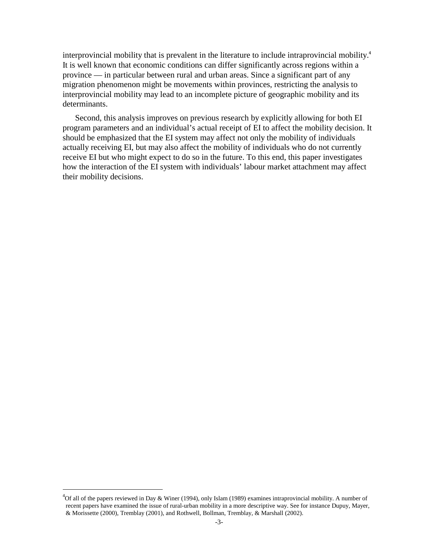interprovincial mobility that is prevalent in the literature to include intraprovincial mobility. It is well known that economic conditions can differ significantly across regions within a province — in particular between rural and urban areas. Since a significant part of any migration phenomenon might be movements within provinces, restricting the analysis to interprovincial mobility may lead to an incomplete picture of geographic mobility and its determinants.

Second, this analysis improves on previous research by explicitly allowing for both EI program parameters and an individual's actual receipt of EI to affect the mobility decision. It should be emphasized that the EI system may affect not only the mobility of individuals actually receiving EI, but may also affect the mobility of individuals who do not currently receive EI but who might expect to do so in the future. To this end, this paper investigates how the interaction of the EI system with individuals' labour market attachment may affect their mobility decisions.

 $^{4}$ Of all of the papers reviewed in Day & Winer (1994), only Islam (1989) examines intraprovincial mobility. A number of recent papers have examined the issue of rural-urban mobility in a more descriptive way. See for instance Dupuy, Mayer, & Morissette (2000), Tremblay (2001), and Rothwell, Bollman, Tremblay, & Marshall (2002).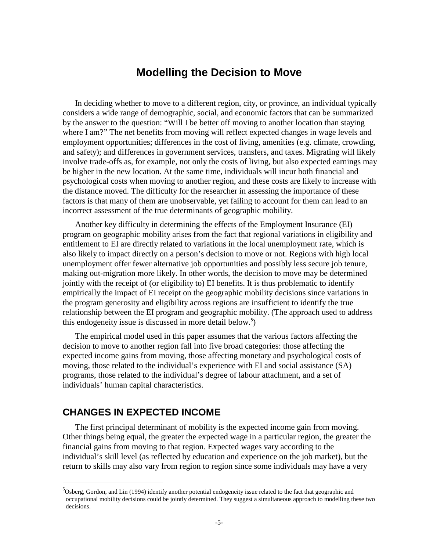### **Modelling the Decision to Move**

In deciding whether to move to a different region, city, or province, an individual typically considers a wide range of demographic, social, and economic factors that can be summarized by the answer to the question: "Will I be better off moving to another location than staying where I am?" The net benefits from moving will reflect expected changes in wage levels and employment opportunities; differences in the cost of living, amenities (e.g. climate, crowding, and safety); and differences in government services, transfers, and taxes. Migrating will likely involve trade-offs as, for example, not only the costs of living, but also expected earnings may be higher in the new location. At the same time, individuals will incur both financial and psychological costs when moving to another region, and these costs are likely to increase with the distance moved. The difficulty for the researcher in assessing the importance of these factors is that many of them are unobservable, yet failing to account for them can lead to an incorrect assessment of the true determinants of geographic mobility.

Another key difficulty in determining the effects of the Employment Insurance (EI) program on geographic mobility arises from the fact that regional variations in eligibility and entitlement to EI are directly related to variations in the local unemployment rate, which is also likely to impact directly on a person's decision to move or not. Regions with high local unemployment offer fewer alternative job opportunities and possibly less secure job tenure, making out-migration more likely. In other words, the decision to move may be determined jointly with the receipt of (or eligibility to) EI benefits. It is thus problematic to identify empirically the impact of EI receipt on the geographic mobility decisions since variations in the program generosity and eligibility across regions are insufficient to identify the true relationship between the EI program and geographic mobility. (The approach used to address this endogeneity issue is discussed in more detail below. )

The empirical model used in this paper assumes that the various factors affecting the decision to move to another region fall into five broad categories: those affecting the expected income gains from moving, those affecting monetary and psychological costs of moving, those related to the individual's experience with EI and social assistance (SA) programs, those related to the individual's degree of labour attachment, and a set of individuals' human capital characteristics.

#### **CHANGES IN EXPECTED INCOME**

 $\overline{a}$ 

The first principal determinant of mobility is the expected income gain from moving. Other things being equal, the greater the expected wage in a particular region, the greater the financial gains from moving to that region. Expected wages vary according to the individual's skill level (as reflected by education and experience on the job market), but the return to skills may also vary from region to region since some individuals may have a very

<sup>&</sup>lt;sup>5</sup>Osberg, Gordon, and Lin (1994) identify another potential endogeneity issue related to the fact that geographic and occupational mobility decisions could be jointly determined. They suggest a simultaneous approach to modelling these two decisions.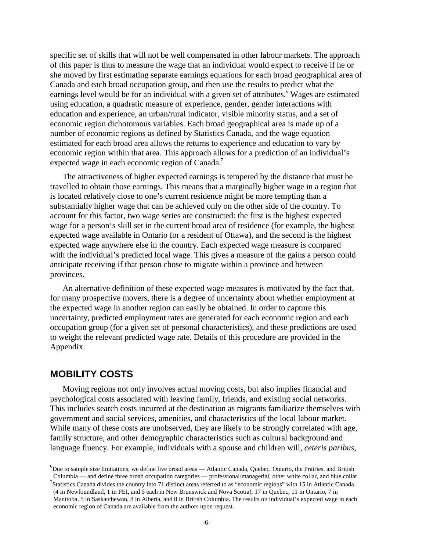specific set of skills that will not be well compensated in other labour markets. The approach of this paper is thus to measure the wage that an individual would expect to receive if he or she moved by first estimating separate earnings equations for each broad geographical area of Canada and each broad occupation group, and then use the results to predict what the earnings level would be for an individual with a given set of attributes.<sup>6</sup> Wages are estimated using education, a quadratic measure of experience, gender, gender interactions with education and experience, an urban/rural indicator, visible minority status, and a set of economic region dichotomous variables. Each broad geographical area is made up of a number of economic regions as defined by Statistics Canada, and the wage equation estimated for each broad area allows the returns to experience and education to vary by economic region within that area. This approach allows for a prediction of an individual's expected wage in each economic region of Canada.

The attractiveness of higher expected earnings is tempered by the distance that must be travelled to obtain those earnings. This means that a marginally higher wage in a region that is located relatively close to one's current residence might be more tempting than a substantially higher wage that can be achieved only on the other side of the country. To account for this factor, two wage series are constructed: the first is the highest expected wage for a person's skill set in the current broad area of residence (for example, the highest expected wage available in Ontario for a resident of Ottawa), and the second is the highest expected wage anywhere else in the country. Each expected wage measure is compared with the individual's predicted local wage. This gives a measure of the gains a person could anticipate receiving if that person chose to migrate within a province and between provinces.

An alternative definition of these expected wage measures is motivated by the fact that, for many prospective movers, there is a degree of uncertainty about whether employment at the expected wage in another region can easily be obtained. In order to capture this uncertainty, predicted employment rates are generated for each economic region and each occupation group (for a given set of personal characteristics), and these predictions are used to weight the relevant predicted wage rate. Details of this procedure are provided in the Appendix.

#### **MOBILITY COSTS**

 $\overline{a}$ 

Moving regions not only involves actual moving costs, but also implies financial and psychological costs associated with leaving family, friends, and existing social networks. This includes search costs incurred at the destination as migrants familiarize themselves with government and social services, amenities, and characteristics of the local labour market. While many of these costs are unobserved, they are likely to be strongly correlated with age, family structure, and other demographic characteristics such as cultural background and language fluency. For example, individuals with a spouse and children will, *ceteris paribus*,

<sup>&</sup>lt;sup>6</sup>Due to sample size limitations, we define five broad areas — Atlantic Canada, Quebec, Ontario, the Prairies, and British Columbia — and define three broad occupation categories — professional/managerial, other white collar, and blue collar.

<sup>&</sup>lt;sup>7</sup>Statistics Canada divides the country into 71 distinct areas referred to as "economic regions" with 15 in Atlantic Canada (4 in Newfoundland, 1 in PEI, and 5 each in New Brunswick and Nova Scotia), 17 in Quebec, 11 in Ontario, 7 in Manitoba, 5 in Saskatchewan, 8 in Alberta, and 8 in British Columbia. The results on individual's expected wage in each economic region of Canada are available from the authors upon request.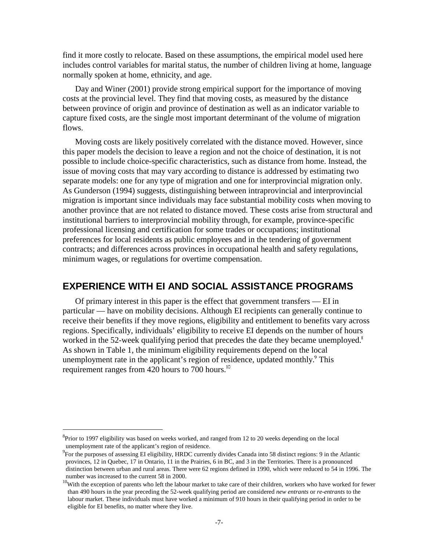find it more costly to relocate. Based on these assumptions, the empirical model used here includes control variables for marital status, the number of children living at home, language normally spoken at home, ethnicity, and age.

Day and Winer (2001) provide strong empirical support for the importance of moving costs at the provincial level. They find that moving costs, as measured by the distance between province of origin and province of destination as well as an indicator variable to capture fixed costs, are the single most important determinant of the volume of migration flows.

Moving costs are likely positively correlated with the distance moved. However, since this paper models the decision to leave a region and not the choice of destination, it is not possible to include choice-specific characteristics, such as distance from home. Instead, the issue of moving costs that may vary according to distance is addressed by estimating two separate models: one for any type of migration and one for interprovincial migration only. As Gunderson (1994) suggests, distinguishing between intraprovincial and interprovincial migration is important since individuals may face substantial mobility costs when moving to another province that are not related to distance moved. These costs arise from structural and institutional barriers to interprovincial mobility through, for example, province-specific professional licensing and certification for some trades or occupations; institutional preferences for local residents as public employees and in the tendering of government contracts; and differences across provinces in occupational health and safety regulations, minimum wages, or regulations for overtime compensation.

#### **EXPERIENCE WITH EI AND SOCIAL ASSISTANCE PROGRAMS**

Of primary interest in this paper is the effect that government transfers — EI in particular — have on mobility decisions. Although EI recipients can generally continue to receive their benefits if they move regions, eligibility and entitlement to benefits vary across regions. Specifically, individuals' eligibility to receive EI depends on the number of hours worked in the 52-week qualifying period that precedes the date they became unemployed.<sup>8</sup> As shown in Table 1, the minimum eligibility requirements depend on the local unemployment rate in the applicant's region of residence, updated monthly.<sup>9</sup> This requirement ranges from 420 hours to 700 hours.<sup>10</sup>

<sup>&</sup>lt;sup>8</sup> Prior to 1997 eligibility was based on weeks worked, and ranged from 12 to 20 weeks depending on the local unemployment rate of the applicant's region of residence.

<sup>&</sup>lt;sup>9</sup> For the purposes of assessing EI eligibility, HRDC currently divides Canada into 58 distinct regions: 9 in the Atlantic provinces, 12 in Quebec, 17 in Ontario, 11 in the Prairies, 6 in BC, and 3 in the Territories. There is a pronounced distinction between urban and rural areas. There were 62 regions defined in 1990, which were reduced to 54 in 1996. The number was increased to the current 58 in 2000.

 $10$ With the exception of parents who left the labour market to take care of their children, workers who have worked for fewer than 490 hours in the year preceding the 52-week qualifying period are considered *new entrants* or *re-entrants* to the labour market. These individuals must have worked a minimum of 910 hours in their qualifying period in order to be eligible for EI benefits, no matter where they live.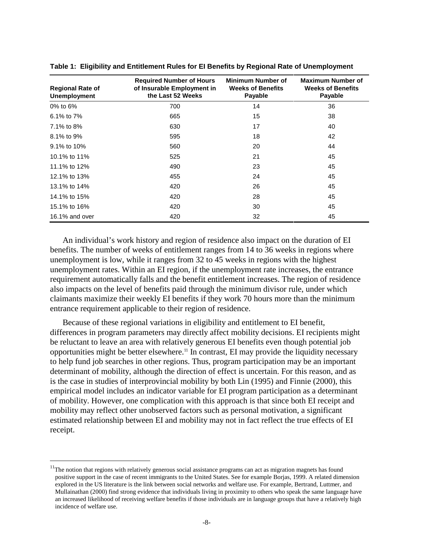| <b>Regional Rate of</b><br><b>Unemployment</b> | <b>Required Number of Hours</b><br>of Insurable Employment in<br>the Last 52 Weeks | <b>Minimum Number of</b><br><b>Weeks of Benefits</b><br>Payable | <b>Maximum Number of</b><br><b>Weeks of Benefits</b><br>Payable |
|------------------------------------------------|------------------------------------------------------------------------------------|-----------------------------------------------------------------|-----------------------------------------------------------------|
| $0\%$ to 6%                                    | 700                                                                                | 14                                                              | 36                                                              |
| 6.1% to 7%                                     | 665                                                                                | 15                                                              | 38                                                              |
| 7.1% to 8%                                     | 630                                                                                | 17                                                              | 40                                                              |
| 8.1% to 9%                                     | 595                                                                                | 18                                                              | 42                                                              |
| 9.1% to 10%                                    | 560                                                                                | 20                                                              | 44                                                              |
| 10.1% to 11%                                   | 525                                                                                | 21                                                              | 45                                                              |
| 11.1% to 12%                                   | 490                                                                                | 23                                                              | 45                                                              |
| 12.1% to 13%                                   | 455                                                                                | 24                                                              | 45                                                              |
| 13.1% to 14%                                   | 420                                                                                | 26                                                              | 45                                                              |
| 14.1% to 15%                                   | 420                                                                                | 28                                                              | 45                                                              |
| 15.1% to 16%                                   | 420                                                                                | 30                                                              | 45                                                              |
| 16.1% and over                                 | 420                                                                                | 32                                                              | 45                                                              |

**Table 1: Eligibility and Entitlement Rules for EI Benefits by Regional Rate of Unemployment** 

An individual's work history and region of residence also impact on the duration of EI benefits. The number of weeks of entitlement ranges from 14 to 36 weeks in regions where unemployment is low, while it ranges from 32 to 45 weeks in regions with the highest unemployment rates. Within an EI region, if the unemployment rate increases, the entrance requirement automatically falls and the benefit entitlement increases. The region of residence also impacts on the level of benefits paid through the minimum divisor rule, under which claimants maximize their weekly EI benefits if they work 70 hours more than the minimum entrance requirement applicable to their region of residence.

Because of these regional variations in eligibility and entitlement to EI benefit, differences in program parameters may directly affect mobility decisions. EI recipients might be reluctant to leave an area with relatively generous EI benefits even though potential job opportunities might be better elsewhere.<sup>11</sup> In contrast, EI may provide the liquidity necessary to help fund job searches in other regions. Thus, program participation may be an important determinant of mobility, although the direction of effect is uncertain. For this reason, and as is the case in studies of interprovincial mobility by both Lin (1995) and Finnie (2000), this empirical model includes an indicator variable for EI program participation as a determinant of mobility. However, one complication with this approach is that since both EI receipt and mobility may reflect other unobserved factors such as personal motivation, a significant estimated relationship between EI and mobility may not in fact reflect the true effects of EI receipt.

<sup>&</sup>lt;sup>11</sup>The notion that regions with relatively generous social assistance programs can act as migration magnets has found positive support in the case of recent immigrants to the United States. See for example Borjas, 1999. A related dimension explored in the US literature is the link between social networks and welfare use. For example, Bertrand, Luttmer, and Mullainathan (2000) find strong evidence that individuals living in proximity to others who speak the same language have an increased likelihood of receiving welfare benefits if those individuals are in language groups that have a relatively high incidence of welfare use.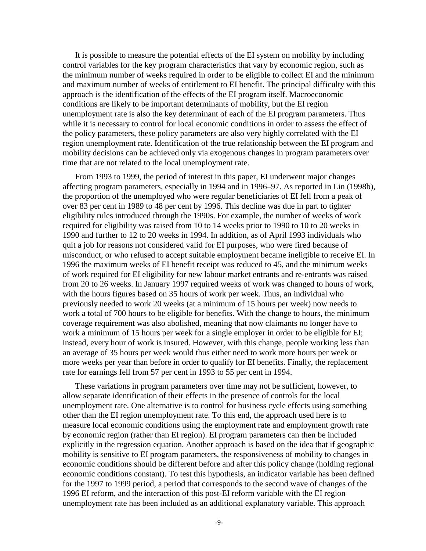It is possible to measure the potential effects of the EI system on mobility by including control variables for the key program characteristics that vary by economic region, such as the minimum number of weeks required in order to be eligible to collect EI and the minimum and maximum number of weeks of entitlement to EI benefit. The principal difficulty with this approach is the identification of the effects of the EI program itself. Macroeconomic conditions are likely to be important determinants of mobility, but the EI region unemployment rate is also the key determinant of each of the EI program parameters. Thus while it is necessary to control for local economic conditions in order to assess the effect of the policy parameters, these policy parameters are also very highly correlated with the EI region unemployment rate. Identification of the true relationship between the EI program and mobility decisions can be achieved only via exogenous changes in program parameters over time that are not related to the local unemployment rate.

From 1993 to 1999, the period of interest in this paper, EI underwent major changes affecting program parameters, especially in 1994 and in 1996–97. As reported in Lin (1998b), the proportion of the unemployed who were regular beneficiaries of EI fell from a peak of over 83 per cent in 1989 to 48 per cent by 1996. This decline was due in part to tighter eligibility rules introduced through the 1990s. For example, the number of weeks of work required for eligibility was raised from 10 to 14 weeks prior to 1990 to 10 to 20 weeks in 1990 and further to 12 to 20 weeks in 1994. In addition, as of April 1993 individuals who quit a job for reasons not considered valid for EI purposes, who were fired because of misconduct, or who refused to accept suitable employment became ineligible to receive EI. In 1996 the maximum weeks of EI benefit receipt was reduced to 45, and the minimum weeks of work required for EI eligibility for new labour market entrants and re-entrants was raised from 20 to 26 weeks. In January 1997 required weeks of work was changed to hours of work, with the hours figures based on 35 hours of work per week. Thus, an individual who previously needed to work 20 weeks (at a minimum of 15 hours per week) now needs to work a total of 700 hours to be eligible for benefits. With the change to hours, the minimum coverage requirement was also abolished, meaning that now claimants no longer have to work a minimum of 15 hours per week for a single employer in order to be eligible for EI; instead, every hour of work is insured. However, with this change, people working less than an average of 35 hours per week would thus either need to work more hours per week or more weeks per year than before in order to qualify for EI benefits. Finally, the replacement rate for earnings fell from 57 per cent in 1993 to 55 per cent in 1994.

These variations in program parameters over time may not be sufficient, however, to allow separate identification of their effects in the presence of controls for the local unemployment rate. One alternative is to control for business cycle effects using something other than the EI region unemployment rate. To this end, the approach used here is to measure local economic conditions using the employment rate and employment growth rate by economic region (rather than EI region). EI program parameters can then be included explicitly in the regression equation. Another approach is based on the idea that if geographic mobility is sensitive to EI program parameters, the responsiveness of mobility to changes in economic conditions should be different before and after this policy change (holding regional economic conditions constant). To test this hypothesis, an indicator variable has been defined for the 1997 to 1999 period, a period that corresponds to the second wave of changes of the 1996 EI reform, and the interaction of this post-EI reform variable with the EI region unemployment rate has been included as an additional explanatory variable. This approach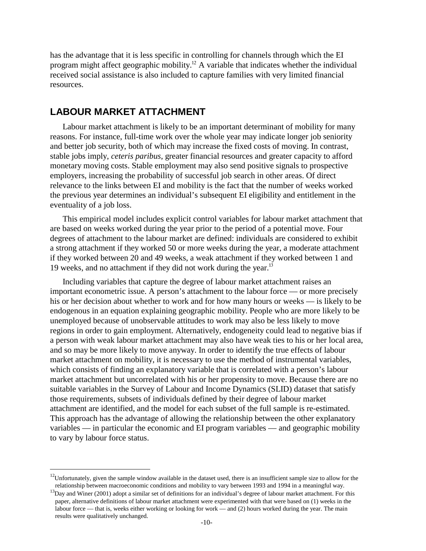has the advantage that it is less specific in controlling for channels through which the EI program might affect geographic mobility.<sup>12</sup> A variable that indicates whether the individual received social assistance is also included to capture families with very limited financial resources.

#### **LABOUR MARKET ATTACHMENT**

 $\overline{a}$ 

Labour market attachment is likely to be an important determinant of mobility for many reasons. For instance, full-time work over the whole year may indicate longer job seniority and better job security, both of which may increase the fixed costs of moving. In contrast, stable jobs imply, *ceteris paribus*, greater financial resources and greater capacity to afford monetary moving costs. Stable employment may also send positive signals to prospective employers, increasing the probability of successful job search in other areas. Of direct relevance to the links between EI and mobility is the fact that the number of weeks worked the previous year determines an individual's subsequent EI eligibility and entitlement in the eventuality of a job loss.

This empirical model includes explicit control variables for labour market attachment that are based on weeks worked during the year prior to the period of a potential move. Four degrees of attachment to the labour market are defined: individuals are considered to exhibit a strong attachment if they worked 50 or more weeks during the year, a moderate attachment if they worked between 20 and 49 weeks, a weak attachment if they worked between 1 and 19 weeks, and no attachment if they did not work during the year. $^{13}$ 

Including variables that capture the degree of labour market attachment raises an important econometric issue. A person's attachment to the labour force — or more precisely his or her decision about whether to work and for how many hours or weeks — is likely to be endogenous in an equation explaining geographic mobility. People who are more likely to be unemployed because of unobservable attitudes to work may also be less likely to move regions in order to gain employment. Alternatively, endogeneity could lead to negative bias if a person with weak labour market attachment may also have weak ties to his or her local area, and so may be more likely to move anyway. In order to identify the true effects of labour market attachment on mobility, it is necessary to use the method of instrumental variables, which consists of finding an explanatory variable that is correlated with a person's labour market attachment but uncorrelated with his or her propensity to move. Because there are no suitable variables in the Survey of Labour and Income Dynamics (SLID) dataset that satisfy those requirements, subsets of individuals defined by their degree of labour market attachment are identified, and the model for each subset of the full sample is re-estimated. This approach has the advantage of allowing the relationship between the other explanatory variables — in particular the economic and EI program variables — and geographic mobility to vary by labour force status.

<sup>&</sup>lt;sup>12</sup>Unfortunately, given the sample window available in the dataset used, there is an insufficient sample size to allow for the relationship between macroeconomic conditions and mobility to vary between 1993 and 1994 in a

 $^{13}$ Day and Winer (2001) adopt a similar set of definitions for an individual's degree of labour market attachment. For this paper, alternative definitions of labour market attachment were experimented with that were based on (1) weeks in the labour force — that is, weeks either working or looking for work — and (2) hours worked during the year. The main results were qualitatively unchanged.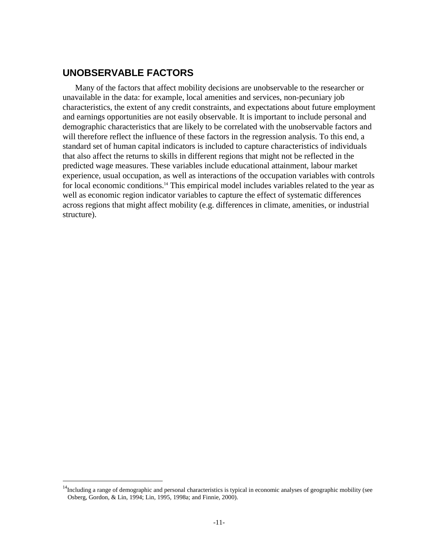### **UNOBSERVABLE FACTORS**

 $\overline{a}$ 

Many of the factors that affect mobility decisions are unobservable to the researcher or unavailable in the data: for example, local amenities and services, non-pecuniary job characteristics, the extent of any credit constraints, and expectations about future employment and earnings opportunities are not easily observable. It is important to include personal and demographic characteristics that are likely to be correlated with the unobservable factors and will therefore reflect the influence of these factors in the regression analysis. To this end, a standard set of human capital indicators is included to capture characteristics of individuals that also affect the returns to skills in different regions that might not be reflected in the predicted wage measures. These variables include educational attainment, labour market experience, usual occupation, as well as interactions of the occupation variables with controls for local economic conditions.<sup>14</sup> This empirical model includes variables related to the year as well as economic region indicator variables to capture the effect of systematic differences across regions that might affect mobility (e.g. differences in climate, amenities, or industrial structure).

 $14$ Including a range of demographic and personal characteristics is typical in economic analyses of geographic mobility (see Osberg, Gordon, & Lin, 1994; Lin, 1995, 1998a; and Finnie, 2000).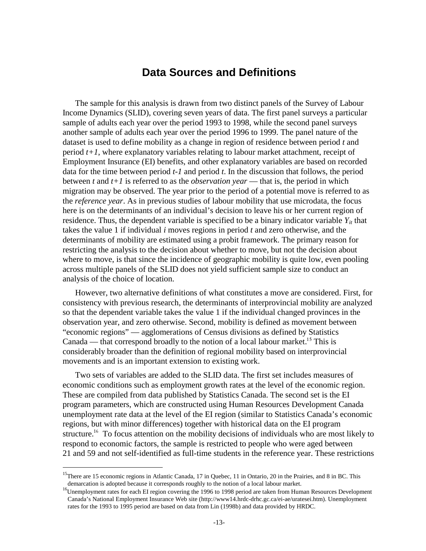### **Data Sources and Definitions**

The sample for this analysis is drawn from two distinct panels of the Survey of Labour Income Dynamics (SLID), covering seven years of data. The first panel surveys a particular sample of adults each year over the period 1993 to 1998, while the second panel surveys another sample of adults each year over the period 1996 to 1999. The panel nature of the dataset is used to define mobility as a change in region of residence between period *t* and period *t+1*, where explanatory variables relating to labour market attachment, receipt of Employment Insurance (EI) benefits, and other explanatory variables are based on recorded data for the time between period *t-1* and period *t*. In the discussion that follows, the period between *t* and *t+1* is referred to as the *observation year* — that is, the period in which migration may be observed. The year prior to the period of a potential move is referred to as the *reference year*. As in previous studies of labour mobility that use microdata, the focus here is on the determinants of an individual's decision to leave his or her current region of residence. Thus, the dependent variable is specified to be a binary indicator variable  $Y_{it}$  that takes the value 1 if individual *i* moves regions in period *t* and zero otherwise, and the determinants of mobility are estimated using a probit framework. The primary reason for restricting the analysis to the decision about whether to move, but not the decision about where to move, is that since the incidence of geographic mobility is quite low, even pooling across multiple panels of the SLID does not yield sufficient sample size to conduct an analysis of the choice of location.

However, two alternative definitions of what constitutes a move are considered. First, for consistency with previous research, the determinants of interprovincial mobility are analyzed so that the dependent variable takes the value 1 if the individual changed provinces in the observation year, and zero otherwise. Second, mobility is defined as movement between "economic regions" — agglomerations of Census divisions as defined by Statistics Canada — that correspond broadly to the notion of a local labour market.<sup>15</sup> This is considerably broader than the definition of regional mobility based on interprovincial movements and is an important extension to existing work.

Two sets of variables are added to the SLID data. The first set includes measures of economic conditions such as employment growth rates at the level of the economic region. These are compiled from data published by Statistics Canada. The second set is the EI program parameters, which are constructed using Human Resources Development Canada unemployment rate data at the level of the EI region (similar to Statistics Canada's economic regions, but with minor differences) together with historical data on the EI program structure.<sup>16</sup> To focus attention on the mobility decisions of individuals who are most likely to respond to economic factors, the sample is restricted to people who were aged between 21 and 59 and not self-identified as full-time students in the reference year. These restrictions

<sup>&</sup>lt;sup>15</sup>There are 15 economic regions in Atlantic Canada, 17 in Quebec, 11 in Ontario, 20 in the Prairies, and 8 in BC. This demarcation is adopted because it corresponds roughly to the notion of a local labour market.<br><sup>16</sup>Unemployment rates for each EI region covering the 1996 to 1998 period are taken from Human Resources Development

Canada's National Employment Insurance Web site (http://www14.hrdc-drhc.gc.ca/ei-ae/uratesei.htm). Unemployment rates for the 1993 to 1995 period are based on data from Lin (1998b) and data provided by HRDC.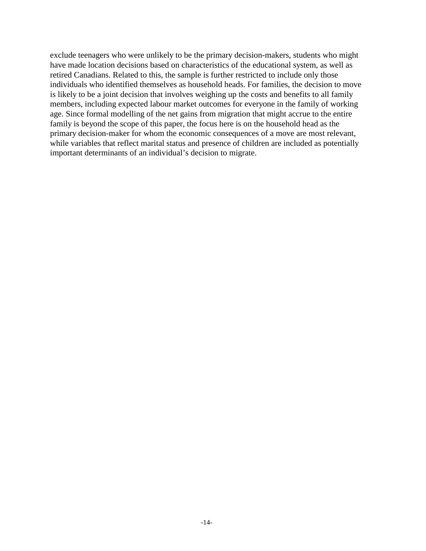exclude teenagers who were unlikely to be the primary decision-makers, students who might have made location decisions based on characteristics of the educational system, as well as retired Canadians. Related to this, the sample is further restricted to include only those individuals who identified themselves as household heads. For families, the decision to move is likely to be a joint decision that involves weighing up the costs and benefits to all family members, including expected labour market outcomes for everyone in the family of working age. Since formal modelling of the net gains from migration that might accrue to the entire family is beyond the scope of this paper, the focus here is on the household head as the primary decision-maker for whom the economic consequences of a move are most relevant, while variables that reflect marital status and presence of children are included as potentially important determinants of an individual's decision to migrate.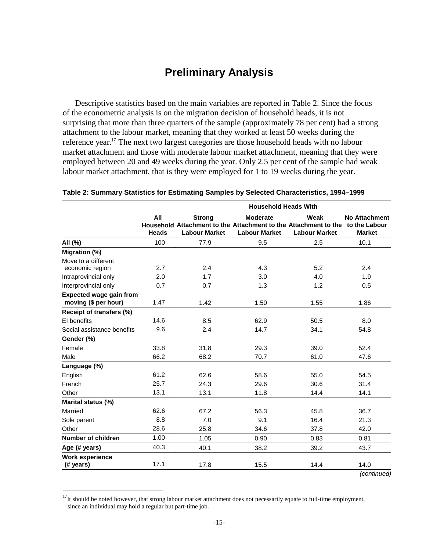## **Preliminary Analysis**

Descriptive statistics based on the main variables are reported in Table 2. Since the focus of the econometric analysis is on the migration decision of household heads, it is not surprising that more than three quarters of the sample (approximately 78 per cent) had a strong attachment to the labour market, meaning that they worked at least 50 weeks during the reference year.<sup>17</sup> The next two largest categories are those household heads with no labour market attachment and those with moderate labour market attachment, meaning that they were employed between 20 and 49 weeks during the year. Only 2.5 per cent of the sample had weak labour market attachment, that is they were employed for 1 to 19 weeks during the year.

|                                                        |                     | <b>Household Heads With</b>           |                                                                                                                          |                              |                                       |  |  |  |  |
|--------------------------------------------------------|---------------------|---------------------------------------|--------------------------------------------------------------------------------------------------------------------------|------------------------------|---------------------------------------|--|--|--|--|
|                                                        | All<br><b>Heads</b> | <b>Strong</b><br><b>Labour Market</b> | <b>Moderate</b><br>Household Attachment to the Attachment to the Attachment to the to the Labour<br><b>Labour Market</b> | Weak<br><b>Labour Market</b> | <b>No Attachment</b><br><b>Market</b> |  |  |  |  |
| All (%)                                                | 100                 | 77.9                                  | 9.5                                                                                                                      | 2.5                          | 10.1                                  |  |  |  |  |
| Migration (%)<br>Move to a different                   |                     |                                       |                                                                                                                          |                              |                                       |  |  |  |  |
| economic region                                        | 2.7                 | 2.4                                   | 4.3                                                                                                                      | 5.2                          | 2.4                                   |  |  |  |  |
| Intraprovincial only                                   | 2.0                 | 1.7                                   | 3.0                                                                                                                      | 4.0                          | 1.9                                   |  |  |  |  |
| Interprovincial only                                   | 0.7                 | 0.7                                   | 1.3                                                                                                                      | 1.2                          | 0.5                                   |  |  |  |  |
| <b>Expected wage gain from</b><br>moving (\$ per hour) | 1.47                | 1.42                                  | 1.50                                                                                                                     | 1.55                         | 1.86                                  |  |  |  |  |
| Receipt of transfers (%)                               |                     |                                       |                                                                                                                          |                              |                                       |  |  |  |  |
| EI benefits                                            | 14.6                | 8.5                                   | 62.9                                                                                                                     | 50.5                         | 8.0                                   |  |  |  |  |
| Social assistance benefits                             | 9.6                 | 2.4                                   | 14.7                                                                                                                     | 34.1                         | 54.8                                  |  |  |  |  |
| Gender (%)                                             |                     |                                       |                                                                                                                          |                              |                                       |  |  |  |  |
| Female                                                 | 33.8                | 31.8                                  | 29.3                                                                                                                     | 39.0                         | 52.4                                  |  |  |  |  |
| Male                                                   | 66.2                | 68.2                                  | 70.7                                                                                                                     | 61.0                         | 47.6                                  |  |  |  |  |
| Language (%)                                           |                     |                                       |                                                                                                                          |                              |                                       |  |  |  |  |
| English                                                | 61.2                | 62.6                                  | 58.6                                                                                                                     | 55.0                         | 54.5                                  |  |  |  |  |
| French                                                 | 25.7                | 24.3                                  | 29.6                                                                                                                     | 30.6                         | 31.4                                  |  |  |  |  |
| Other                                                  | 13.1                | 13.1                                  | 11.8                                                                                                                     | 14.4                         | 14.1                                  |  |  |  |  |
| Marital status (%)                                     |                     |                                       |                                                                                                                          |                              |                                       |  |  |  |  |
| Married                                                | 62.6                | 67.2                                  | 56.3                                                                                                                     | 45.8                         | 36.7                                  |  |  |  |  |
| Sole parent                                            | 8.8                 | 7.0                                   | 9.1                                                                                                                      | 16.4                         | 21.3                                  |  |  |  |  |
| Other                                                  | 28.6                | 25.8                                  | 34.6                                                                                                                     | 37.8                         | 42.0                                  |  |  |  |  |
| Number of children                                     | 1.00                | 1.05                                  | 0.90                                                                                                                     | 0.83                         | 0.81                                  |  |  |  |  |
| Age (# years)                                          | 40.3                | 40.1                                  | 38.2                                                                                                                     | 39.2                         | 43.7                                  |  |  |  |  |
| <b>Work experience</b>                                 |                     |                                       |                                                                                                                          |                              |                                       |  |  |  |  |
| (# years)                                              | 17.1                | 17.8                                  | 15.5                                                                                                                     | 14.4                         | 14.0                                  |  |  |  |  |
|                                                        |                     |                                       |                                                                                                                          |                              | (continued)                           |  |  |  |  |

#### **Table 2: Summary Statistics for Estimating Samples by Selected Characteristics, 1994–1999**

 $17$ It should be noted however, that strong labour market attachment does not necessarily equate to full-time employment, since an individual may hold a regular but part-time job.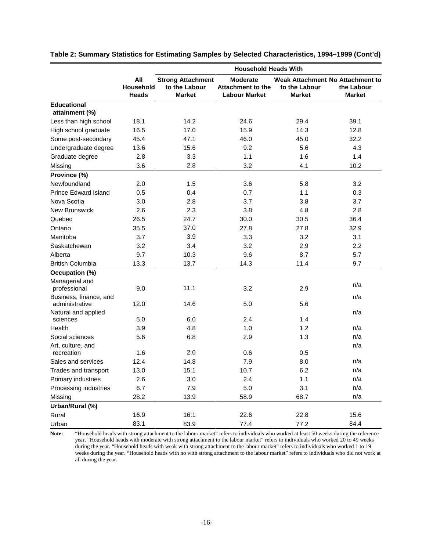|                                      |                                  | <b>Household Heads With</b>                                |                                                              |                                                                    |                             |  |  |  |  |
|--------------------------------------|----------------------------------|------------------------------------------------------------|--------------------------------------------------------------|--------------------------------------------------------------------|-----------------------------|--|--|--|--|
|                                      | All<br>Household<br><b>Heads</b> | <b>Strong Attachment</b><br>to the Labour<br><b>Market</b> | <b>Moderate</b><br>Attachment to the<br><b>Labour Market</b> | Weak Attachment No Attachment to<br>to the Labour<br><b>Market</b> | the Labour<br><b>Market</b> |  |  |  |  |
| <b>Educational</b><br>attainment (%) |                                  |                                                            |                                                              |                                                                    |                             |  |  |  |  |
| Less than high school                | 18.1                             | 14.2                                                       | 24.6                                                         | 29.4                                                               | 39.1                        |  |  |  |  |
| High school graduate                 | 16.5                             | 17.0                                                       | 15.9                                                         | 14.3                                                               | 12.8                        |  |  |  |  |
| Some post-secondary                  | 45.4                             | 47.1                                                       | 46.0                                                         | 45.0                                                               | 32.2                        |  |  |  |  |
| Undergraduate degree                 | 13.6                             | 15.6                                                       | 9.2                                                          | 5.6                                                                | 4.3                         |  |  |  |  |
| Graduate degree                      | 2.8                              | 3.3                                                        | 1.1                                                          | 1.6                                                                | 1.4                         |  |  |  |  |
| Missing                              | 3.6                              | 2.8                                                        | 3.2                                                          | 4.1                                                                | 10.2                        |  |  |  |  |
| Province (%)                         |                                  |                                                            |                                                              |                                                                    |                             |  |  |  |  |
| Newfoundland                         | 2.0                              | 1.5                                                        | 3.6                                                          | 5.8                                                                | 3.2                         |  |  |  |  |
| <b>Prince Edward Island</b>          | 0.5                              | 0.4                                                        | 0.7                                                          | 1.1                                                                | 0.3                         |  |  |  |  |
| Nova Scotia                          | 3.0                              | 2.8                                                        | 3.7                                                          | 3.8                                                                | 3.7                         |  |  |  |  |
| New Brunswick                        | 2.6                              | 2.3                                                        | 3.8                                                          | 4.8                                                                | 2.8                         |  |  |  |  |
| Quebec                               | 26.5                             | 24.7                                                       | 30.0                                                         | 30.5                                                               | 36.4                        |  |  |  |  |
| Ontario                              | 35.5                             | 37.0                                                       | 27.8                                                         | 27.8                                                               | 32.9                        |  |  |  |  |
| Manitoba                             | 3.7                              | 3.9                                                        | 3.3                                                          | 3.2                                                                | 3.1                         |  |  |  |  |
| Saskatchewan                         | 3.2                              | 3.4                                                        | 3.2                                                          | 2.9                                                                | 2.2                         |  |  |  |  |
| Alberta                              | 9.7                              | 10.3                                                       | 9.6                                                          | 8.7                                                                | 5.7                         |  |  |  |  |
| <b>British Columbia</b>              | 13.3                             | 13.7                                                       | 14.3                                                         | 11.4                                                               | 9.7                         |  |  |  |  |
| Occupation (%)                       |                                  |                                                            |                                                              |                                                                    |                             |  |  |  |  |
| Managerial and<br>professional       | 9.0                              | 11.1                                                       | 3.2                                                          | 2.9                                                                | n/a                         |  |  |  |  |
| Business, finance, and               |                                  |                                                            |                                                              |                                                                    | n/a                         |  |  |  |  |
| administrative                       | 12.0                             | 14.6                                                       | 5.0                                                          | 5.6                                                                |                             |  |  |  |  |
| Natural and applied<br>sciences      | 5.0                              | 6.0                                                        | 2.4                                                          | 1.4                                                                | n/a                         |  |  |  |  |
| Health                               | 3.9                              | 4.8                                                        | 1.0                                                          | 1.2                                                                | n/a                         |  |  |  |  |
| Social sciences                      | 5.6                              | 6.8                                                        | 2.9                                                          | 1.3                                                                | n/a                         |  |  |  |  |
| Art, culture, and                    |                                  |                                                            |                                                              |                                                                    | n/a                         |  |  |  |  |
| recreation                           | 1.6                              | 2.0                                                        | 0.6                                                          | 0.5                                                                |                             |  |  |  |  |
| Sales and services                   | 12.4                             | 14.8                                                       | 7.9                                                          | 8.0                                                                | n/a                         |  |  |  |  |
| Trades and transport                 | 13.0                             | 15.1                                                       | 10.7                                                         | 6.2                                                                | n/a                         |  |  |  |  |
| Primary industries                   | 2.6                              | 3.0                                                        | 2.4                                                          | 1.1                                                                | n/a                         |  |  |  |  |
| Processing industries                | 6.7                              | 7.9                                                        | 5.0                                                          | 3.1                                                                | n/a                         |  |  |  |  |
| Missing                              | 28.2                             | 13.9                                                       | 58.9                                                         | 68.7                                                               | n/a                         |  |  |  |  |
| Urban/Rural (%)                      |                                  |                                                            |                                                              |                                                                    |                             |  |  |  |  |
| Rural                                | 16.9                             | 16.1                                                       | 22.6                                                         | 22.8                                                               | 15.6                        |  |  |  |  |
| Urban                                | 83.1                             | 83.9                                                       | 77.4                                                         | 77.2                                                               | 84.4                        |  |  |  |  |

**Table 2: Summary Statistics for Estimating Samples by Selected Characteristics, 1994–1999 (Cont'd)** 

**Note:** "Household heads with strong attachment to the labour market" refers to individuals who worked at least 50 weeks during the reference year. "Household heads with moderate with strong attachment to the labour market" refers to individuals who worked 20 to 49 weeks during the year. "Household heads with weak with strong attachment to the labour market" refers to individuals who worked 1 to 19 weeks during the year. "Household heads with no with strong attachment to the labour market" refers to individuals who did not work at all during the year.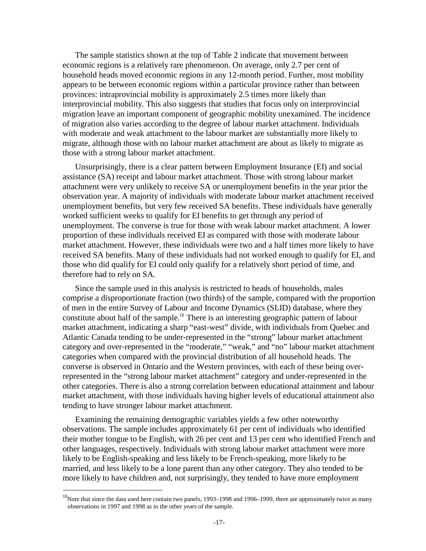The sample statistics shown at the top of Table 2 indicate that movement between economic regions is a relatively rare phenomenon. On average, only 2.7 per cent of household heads moved economic regions in any 12-month period. Further, most mobility appears to be between economic regions within a particular province rather than between provinces: intraprovincial mobility is approximately 2.5 times more likely than interprovincial mobility. This also suggests that studies that focus only on interprovincial migration leave an important component of geographic mobility unexamined. The incidence of migration also varies according to the degree of labour market attachment. Individuals with moderate and weak attachment to the labour market are substantially more likely to migrate, although those with no labour market attachment are about as likely to migrate as those with a strong labour market attachment.

Unsurprisingly, there is a clear pattern between Employment Insurance (EI) and social assistance (SA) receipt and labour market attachment. Those with strong labour market attachment were very unlikely to receive SA or unemployment benefits in the year prior the observation year. A majority of individuals with moderate labour market attachment received unemployment benefits, but very few received SA benefits. These individuals have generally worked sufficient weeks to qualify for EI benefits to get through any period of unemployment. The converse is true for those with weak labour market attachment. A lower proportion of these individuals received EI as compared with those with moderate labour market attachment. However, these individuals were two and a half times more likely to have received SA benefits. Many of these individuals had not worked enough to qualify for EI, and those who did qualify for EI could only qualify for a relatively short period of time, and therefore had to rely on SA.

Since the sample used in this analysis is restricted to heads of households, males comprise a disproportionate fraction (two thirds) of the sample, compared with the proportion of men in the entire Survey of Labour and Income Dynamics (SLID) database, where they constitute about half of the sample.<sup>18</sup> There is an interesting geographic pattern of labour market attachment, indicating a sharp "east-west" divide, with individuals from Quebec and Atlantic Canada tending to be under-represented in the "strong" labour market attachment category and over-represented in the "moderate," "weak," and "no" labour market attachment categories when compared with the provincial distribution of all household heads. The converse is observed in Ontario and the Western provinces, with each of these being overrepresented in the "strong labour market attachment" category and under-represented in the other categories. There is also a strong correlation between educational attainment and labour market attachment, with those individuals having higher levels of educational attainment also tending to have stronger labour market attachment.

Examining the remaining demographic variables yields a few other noteworthy observations. The sample includes approximately 61 per cent of individuals who identified their mother tongue to be English, with 26 per cent and 13 per cent who identified French and other languages, respectively. Individuals with strong labour market attachment were more likely to be English-speaking and less likely to be French-speaking, more likely to be married, and less likely to be a lone parent than any other category. They also tended to be more likely to have children and, not surprisingly, they tended to have more employment

<sup>&</sup>lt;sup>18</sup>Note that since the data used here contain two panels, 1993–1998 and 1996–1999, there are approximately twice as many observations in 1997 and 1998 as in the other years of the sample.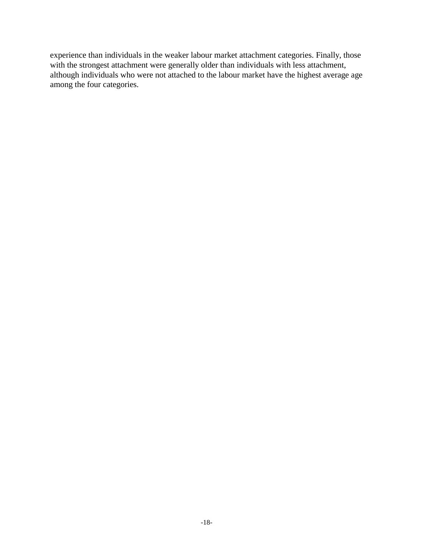experience than individuals in the weaker labour market attachment categories. Finally, those with the strongest attachment were generally older than individuals with less attachment, although individuals who were not attached to the labour market have the highest average age among the four categories.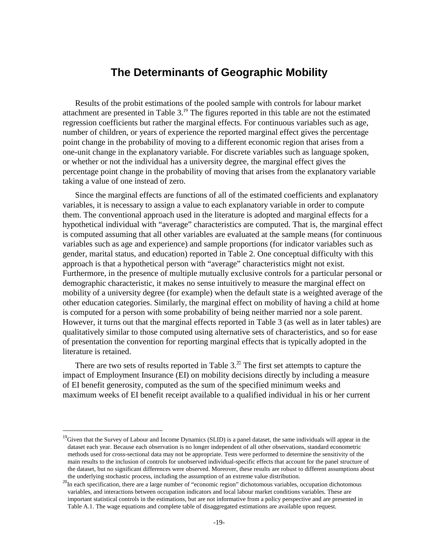### **The Determinants of Geographic Mobility**

Results of the probit estimations of the pooled sample with controls for labour market attachment are presented in Table  $3.^{19}$ . The figures reported in this table are not the estimated regression coefficients but rather the marginal effects. For continuous variables such as age, number of children, or years of experience the reported marginal effect gives the percentage point change in the probability of moving to a different economic region that arises from a one-unit change in the explanatory variable. For discrete variables such as language spoken, or whether or not the individual has a university degree, the marginal effect gives the percentage point change in the probability of moving that arises from the explanatory variable taking a value of one instead of zero.

Since the marginal effects are functions of all of the estimated coefficients and explanatory variables, it is necessary to assign a value to each explanatory variable in order to compute them. The conventional approach used in the literature is adopted and marginal effects for a hypothetical individual with "average" characteristics are computed. That is, the marginal effect is computed assuming that all other variables are evaluated at the sample means (for continuous variables such as age and experience) and sample proportions (for indicator variables such as gender, marital status, and education) reported in Table 2. One conceptual difficulty with this approach is that a hypothetical person with "average" characteristics might not exist. Furthermore, in the presence of multiple mutually exclusive controls for a particular personal or demographic characteristic, it makes no sense intuitively to measure the marginal effect on mobility of a university degree (for example) when the default state is a weighted average of the other education categories. Similarly, the marginal effect on mobility of having a child at home is computed for a person with some probability of being neither married nor a sole parent. However, it turns out that the marginal effects reported in Table 3 (as well as in later tables) are qualitatively similar to those computed using alternative sets of characteristics, and so for ease of presentation the convention for reporting marginal effects that is typically adopted in the literature is retained.

There are two sets of results reported in Table  $3.^{20}$  The first set attempts to capture the impact of Employment Insurance (EI) on mobility decisions directly by including a measure of EI benefit generosity, computed as the sum of the specified minimum weeks and maximum weeks of EI benefit receipt available to a qualified individual in his or her current

<sup>&</sup>lt;sup>19</sup>Given that the Survey of Labour and Income Dynamics (SLID) is a panel dataset, the same individuals will appear in the dataset each year. Because each observation is no longer independent of all other observations, standard econometric methods used for cross-sectional data may not be appropriate. Tests were performed to determine the sensitivity of the main results to the inclusion of controls for unobserved individual-specific effects that account for the panel structure of the dataset, but no significant differences were observed. Moreover, these results are robust to different assumptions about

the underlying stochastic process, including the assumption of an extreme value distribution. <sup>20</sup>In each specification, there are a large number of "economic region" dichotomous variables, occupation dichotomous variables, and interactions between occupation indicators and local labour market conditions variables. These are important statistical controls in the estimations, but are not informative from a policy perspective and are presented in Table A.1. The wage equations and complete table of disaggregated estimations are available upon request.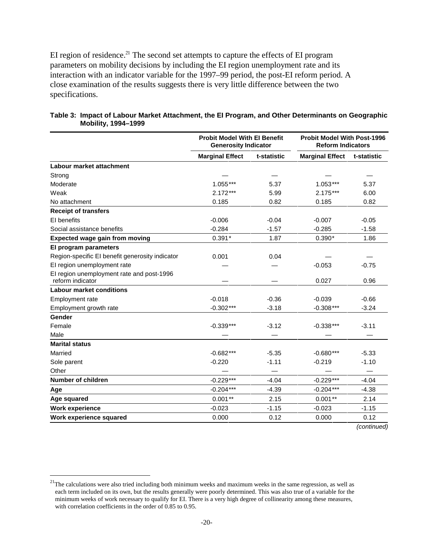EI region of residence.<sup>21</sup> The second set attempts to capture the effects of EI program parameters on mobility decisions by including the EI region unemployment rate and its interaction with an indicator variable for the 1997–99 period, the post-EI reform period. A close examination of the results suggests there is very little difference between the two specifications.

|                                                               | <b>Probit Model With El Benefit</b><br><b>Generosity Indicator</b> |             | <b>Probit Model With Post-1996</b><br><b>Reform Indicators</b> |             |  |
|---------------------------------------------------------------|--------------------------------------------------------------------|-------------|----------------------------------------------------------------|-------------|--|
|                                                               | <b>Marginal Effect</b>                                             | t-statistic | <b>Marginal Effect</b>                                         | t-statistic |  |
| Labour market attachment                                      |                                                                    |             |                                                                |             |  |
| Strong                                                        |                                                                    |             |                                                                |             |  |
| Moderate                                                      | $1.055***$                                                         | 5.37        | $1.053***$                                                     | 5.37        |  |
| Weak                                                          | $2.172***$                                                         | 5.99        | $2.175***$                                                     | 6.00        |  |
| No attachment                                                 | 0.185                                                              | 0.82        | 0.185                                                          | 0.82        |  |
| <b>Receipt of transfers</b>                                   |                                                                    |             |                                                                |             |  |
| EI benefits                                                   | $-0.006$                                                           | $-0.04$     | $-0.007$                                                       | $-0.05$     |  |
| Social assistance benefits                                    | $-0.284$                                                           | $-1.57$     | $-0.285$                                                       | $-1.58$     |  |
| <b>Expected wage gain from moving</b>                         | $0.391*$                                                           | 1.87        | $0.390*$                                                       | 1.86        |  |
| El program parameters                                         |                                                                    |             |                                                                |             |  |
| Region-specific EI benefit generosity indicator               | 0.001                                                              | 0.04        |                                                                |             |  |
| El region unemployment rate                                   |                                                                    |             | $-0.053$                                                       | $-0.75$     |  |
| El region unemployment rate and post-1996<br>reform indicator |                                                                    |             | 0.027                                                          | 0.96        |  |
| <b>Labour market conditions</b>                               |                                                                    |             |                                                                |             |  |
| Employment rate                                               | $-0.018$                                                           | $-0.36$     | $-0.039$                                                       | $-0.66$     |  |
| Employment growth rate                                        | $-0.302***$                                                        | $-3.18$     | $-0.308***$                                                    | $-3.24$     |  |
| Gender                                                        |                                                                    |             |                                                                |             |  |
| Female                                                        | $-0.339***$                                                        | $-3.12$     | $-0.338***$                                                    | $-3.11$     |  |
| Male                                                          |                                                                    |             |                                                                |             |  |
| <b>Marital status</b>                                         |                                                                    |             |                                                                |             |  |
| Married                                                       | $-0.682***$                                                        | $-5.35$     | $-0.680***$                                                    | $-5.33$     |  |
| Sole parent                                                   | $-0.220$                                                           | $-1.11$     | $-0.219$                                                       | $-1.10$     |  |
| Other                                                         |                                                                    |             |                                                                |             |  |
| Number of children                                            | $-0.229***$                                                        | $-4.04$     | $-0.229***$                                                    | $-4.04$     |  |
| Age                                                           | $-0.204***$                                                        | $-4.39$     | $-0.204***$                                                    | $-4.38$     |  |
| Age squared                                                   | $0.001**$                                                          | 2.15        | $0.001**$                                                      | 2.14        |  |
| <b>Work experience</b>                                        | $-0.023$                                                           | $-1.15$     | $-0.023$                                                       | $-1.15$     |  |
| Work experience squared                                       | 0.000                                                              | 0.12        | 0.000                                                          | 0.12        |  |

#### **Table 3: Impact of Labour Market Attachment, the EI Program, and Other Determinants on Geographic Mobility, 1994–1999**

*(continued)* 

 $21$ The calculations were also tried including both minimum weeks and maximum weeks in the same regression, as well as each term included on its own, but the results generally were poorly determined. This was also true of a variable for the minimum weeks of work necessary to qualify for EI. There is a very high degree of collinearity among these measures, with correlation coefficients in the order of 0.85 to 0.95.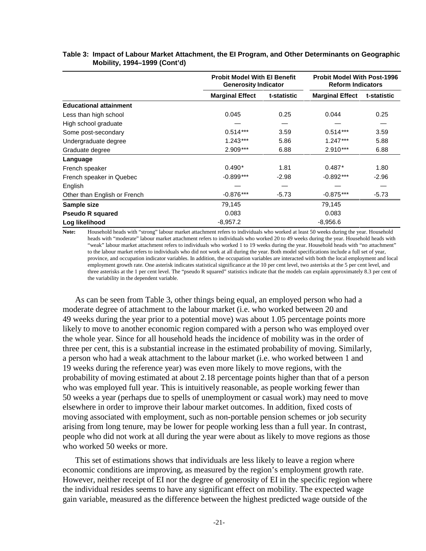|                               | <b>Probit Model With El Benefit</b><br><b>Generosity Indicator</b> |                        | <b>Probit Model With Post-1996</b><br><b>Reform Indicators</b> |             |  |  |  |
|-------------------------------|--------------------------------------------------------------------|------------------------|----------------------------------------------------------------|-------------|--|--|--|
|                               | <b>Marginal Effect</b>                                             | t-statistic            | <b>Marginal Effect</b>                                         | t-statistic |  |  |  |
| <b>Educational attainment</b> |                                                                    |                        |                                                                |             |  |  |  |
| Less than high school         | 0.045                                                              | 0.25                   | 0.044                                                          | 0.25        |  |  |  |
| High school graduate          |                                                                    |                        |                                                                |             |  |  |  |
| Some post-secondary           | $0.514***$                                                         | 3.59                   | $0.514***$                                                     | 3.59        |  |  |  |
| Undergraduate degree          | $1.243***$                                                         | 5.86                   |                                                                | 5.88        |  |  |  |
| Graduate degree               | $2.909***$                                                         | 6.88                   | $2.910***$                                                     | 6.88        |  |  |  |
| Language                      |                                                                    |                        |                                                                |             |  |  |  |
| French speaker                | $0.490*$                                                           | 1.81                   | $0.487*$                                                       | 1.80        |  |  |  |
| French speaker in Quebec      | $-0.899***$                                                        | $-2.98$                | $-0.892***$                                                    | $-2.96$     |  |  |  |
| English                       |                                                                    |                        |                                                                |             |  |  |  |
| Other than English or French  | $-0.876***$                                                        | $-0.875***$<br>$-5.73$ |                                                                | $-5.73$     |  |  |  |
| Sample size                   | 79,145                                                             |                        | 79,145                                                         |             |  |  |  |
| <b>Pseudo R squared</b>       | 0.083                                                              |                        | 0.083                                                          |             |  |  |  |
| Log likelihood                | $-8,957.2$                                                         | $-8,956.6$             |                                                                |             |  |  |  |

#### **Table 3: Impact of Labour Market Attachment, the EI Program, and Other Determinants on Geographic Mobility, 1994–1999 (Cont'd)**

**Note:** Household heads with "strong" labour market attachment refers to individuals who worked at least 50 weeks during the year. Household heads with "moderate" labour market attachment refers to individuals who worked 20 to 49 weeks during the year. Household heads with "weak" labour market attachment refers to individuals who worked 1 to 19 weeks during the year. Household heads with "no attachment" to the labour market refers to individuals who did not work at all during the year. Both model specifications include a full set of year, province, and occupation indicator variables. In addition, the occupation variables are interacted with both the local employment and local employment growth rate. One asterisk indicates statistical significance at the 10 per cent level, two asterisks at the 5 per cent level, and three asterisks at the 1 per cent level. The "pseudo R squared" statistics indicate that the models can explain approximately 8.3 per cent of the variability in the dependent variable.

As can be seen from Table 3, other things being equal, an employed person who had a moderate degree of attachment to the labour market (i.e. who worked between 20 and 49 weeks during the year prior to a potential move) was about 1.05 percentage points more likely to move to another economic region compared with a person who was employed over the whole year. Since for all household heads the incidence of mobility was in the order of three per cent, this is a substantial increase in the estimated probability of moving. Similarly, a person who had a weak attachment to the labour market (i.e. who worked between 1 and 19 weeks during the reference year) was even more likely to move regions, with the probability of moving estimated at about 2.18 percentage points higher than that of a person who was employed full year. This is intuitively reasonable, as people working fewer than 50 weeks a year (perhaps due to spells of unemployment or casual work) may need to move elsewhere in order to improve their labour market outcomes. In addition, fixed costs of moving associated with employment, such as non-portable pension schemes or job security arising from long tenure, may be lower for people working less than a full year. In contrast, people who did not work at all during the year were about as likely to move regions as those who worked 50 weeks or more.

This set of estimations shows that individuals are less likely to leave a region where economic conditions are improving, as measured by the region's employment growth rate. However, neither receipt of EI nor the degree of generosity of EI in the specific region where the individual resides seems to have any significant effect on mobility. The expected wage gain variable, measured as the difference between the highest predicted wage outside of the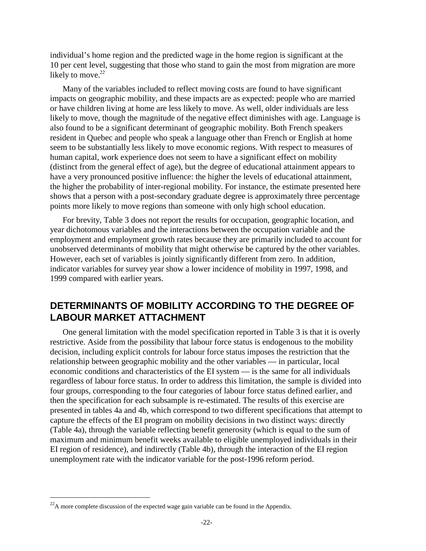individual's home region and the predicted wage in the home region is significant at the 10 per cent level, suggesting that those who stand to gain the most from migration are more likely to move. $22$ 

Many of the variables included to reflect moving costs are found to have significant impacts on geographic mobility, and these impacts are as expected: people who are married or have children living at home are less likely to move. As well, older individuals are less likely to move, though the magnitude of the negative effect diminishes with age. Language is also found to be a significant determinant of geographic mobility. Both French speakers resident in Quebec and people who speak a language other than French or English at home seem to be substantially less likely to move economic regions. With respect to measures of human capital, work experience does not seem to have a significant effect on mobility (distinct from the general effect of age), but the degree of educational attainment appears to have a very pronounced positive influence: the higher the levels of educational attainment, the higher the probability of inter-regional mobility. For instance, the estimate presented here shows that a person with a post-secondary graduate degree is approximately three percentage points more likely to move regions than someone with only high school education.

For brevity, Table 3 does not report the results for occupation, geographic location, and year dichotomous variables and the interactions between the occupation variable and the employment and employment growth rates because they are primarily included to account for unobserved determinants of mobility that might otherwise be captured by the other variables. However, each set of variables is jointly significantly different from zero. In addition, indicator variables for survey year show a lower incidence of mobility in 1997, 1998, and 1999 compared with earlier years.

### **DETERMINANTS OF MOBILITY ACCORDING TO THE DEGREE OF LABOUR MARKET ATTACHMENT**

One general limitation with the model specification reported in Table 3 is that it is overly restrictive. Aside from the possibility that labour force status is endogenous to the mobility decision, including explicit controls for labour force status imposes the restriction that the relationship between geographic mobility and the other variables — in particular, local economic conditions and characteristics of the EI system — is the same for all individuals regardless of labour force status. In order to address this limitation, the sample is divided into four groups, corresponding to the four categories of labour force status defined earlier, and then the specification for each subsample is re-estimated. The results of this exercise are presented in tables 4a and 4b, which correspond to two different specifications that attempt to capture the effects of the EI program on mobility decisions in two distinct ways: directly (Table 4a), through the variable reflecting benefit generosity (which is equal to the sum of maximum and minimum benefit weeks available to eligible unemployed individuals in their EI region of residence), and indirectly (Table 4b), through the interaction of the EI region unemployment rate with the indicator variable for the post-1996 reform period.

 $22A$  more complete discussion of the expected wage gain variable can be found in the Appendix.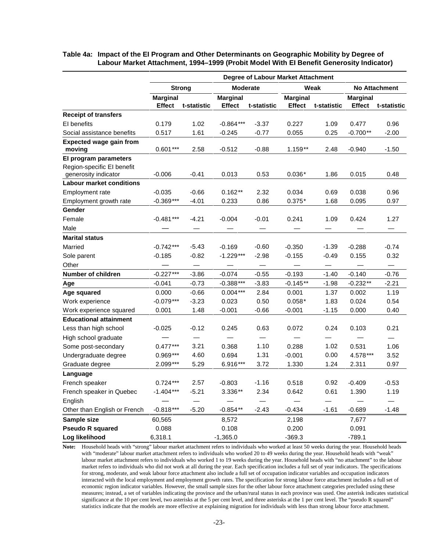|                                                                             | Degree of Labour Market Attachment |                          |                 |                 |                 |             |                 |                          |  |  |
|-----------------------------------------------------------------------------|------------------------------------|--------------------------|-----------------|-----------------|-----------------|-------------|-----------------|--------------------------|--|--|
|                                                                             |                                    | <b>Strong</b>            | <b>Moderate</b> |                 |                 | Weak        |                 | <b>No Attachment</b>     |  |  |
|                                                                             | <b>Marginal</b>                    |                          | <b>Marginal</b> |                 | <b>Marginal</b> |             | <b>Marginal</b> |                          |  |  |
|                                                                             | <b>Effect</b>                      | t-statistic              | <b>Effect</b>   | t-statistic     | <b>Effect</b>   | t-statistic | <b>Effect</b>   | t-statistic              |  |  |
| <b>Receipt of transfers</b>                                                 |                                    |                          |                 |                 |                 |             |                 |                          |  |  |
| EI benefits                                                                 | 0.179                              | 1.02                     | $-0.864***$     | $-3.37$         | 0.227           | 1.09        | 0.477           | 0.96                     |  |  |
| Social assistance benefits                                                  | 0.517                              | 1.61                     | $-0.245$        | $-0.77$         | 0.055           | 0.25        | $-0.700**$      | $-2.00$                  |  |  |
| <b>Expected wage gain from</b>                                              | $0.601***$                         | 2.58                     | $-0.512$        | $-0.88$         | $1.159**$       | 2.48        | $-0.940$        | $-1.50$                  |  |  |
| moving                                                                      |                                    |                          |                 |                 |                 |             |                 |                          |  |  |
| El program parameters<br>Region-specific El benefit<br>generosity indicator | $-0.006$                           | $-0.41$                  | 0.013           | 0.53            | $0.036*$        | 1.86        | 0.015           | 0.48                     |  |  |
| <b>Labour market conditions</b>                                             |                                    |                          |                 |                 |                 |             |                 |                          |  |  |
| Employment rate                                                             | $-0.035$                           | $-0.66$                  | $0.162**$       | 2.32            | 0.034           | 0.69        | 0.038           | 0.96                     |  |  |
| Employment growth rate                                                      | $-0.369***$                        | $-4.01$                  | 0.233           | 0.86            | $0.375*$        | 1.68        | 0.095           | 0.97                     |  |  |
| Gender                                                                      |                                    |                          |                 |                 |                 |             |                 |                          |  |  |
| Female                                                                      | $-0.481***$                        | $-4.21$                  | $-0.004$        | $-0.01$         | 0.241           | 1.09        | 0.424           | 1.27                     |  |  |
| Male                                                                        |                                    |                          |                 |                 |                 |             |                 |                          |  |  |
| <b>Marital status</b>                                                       |                                    |                          |                 |                 |                 |             |                 |                          |  |  |
| Married                                                                     | $-0.742***$                        | $-5.43$                  | $-0.169$        | $-0.60$         | $-0.350$        | $-1.39$     | $-0.288$        | $-0.74$                  |  |  |
| Sole parent                                                                 | $-0.185$                           | $-0.82$                  | $-1.229***$     | $-2.98$         | $-0.155$        | $-0.49$     | 0.155           | 0.32                     |  |  |
| Other                                                                       |                                    |                          |                 |                 |                 |             |                 | $\overline{\phantom{0}}$ |  |  |
| Number of children                                                          | $-0.227***$                        | $-3.86$                  | $-0.074$        | $-0.55$         | $-0.193$        | $-1.40$     | $-0.140$        | $-0.76$                  |  |  |
| Age                                                                         | $-0.041$                           | $-0.73$                  | $-0.388***$     | $-3.83$         | $-0.145**$      | $-1.98$     | $-0.232**$      | $-2.21$                  |  |  |
| Age squared                                                                 | 0.000                              | $-0.66$                  | $0.004***$      | 2.84            | 0.001           | 1.37        | 0.002           | 1.19                     |  |  |
| Work experience                                                             | $-0.079***$                        | $-3.23$                  | 0.023           | 0.50            | $0.058*$        | 1.83        | 0.024           | 0.54                     |  |  |
| Work experience squared                                                     | 0.001                              | 1.48                     | $-0.001$        | $-0.66$         | $-0.001$        | $-1.15$     | 0.000           | 0.40                     |  |  |
| <b>Educational attainment</b>                                               |                                    |                          |                 |                 |                 |             |                 |                          |  |  |
| Less than high school                                                       | $-0.025$                           | $-0.12$                  | 0.245           | 0.63            | 0.072           | 0.24        | 0.103           | 0.21                     |  |  |
| High school graduate                                                        |                                    | $\overline{\phantom{0}}$ |                 | $\qquad \qquad$ |                 |             |                 | $\overline{\phantom{0}}$ |  |  |
| Some post-secondary                                                         | $0.477***$                         | 3.21                     | 0.368           | 1.10            | 0.288           | 1.02        | 0.531           | 1.06                     |  |  |
| Undergraduate degree                                                        | $0.969***$                         | 4.60                     | 0.694           | 1.31            | $-0.001$        | 0.00        | 4.578***        | 3.52                     |  |  |
| Graduate degree                                                             | $2.099***$                         | 5.29                     | 6.916***        | 3.72            | 1.330           | 1.24        | 2.311           | 0.97                     |  |  |
| Language                                                                    |                                    |                          |                 |                 |                 |             |                 |                          |  |  |
| French speaker                                                              | $0.724***$                         | 2.57                     | $-0.803$        | $-1.16$         | 0.518           | 0.92        | $-0.409$        | $-0.53$                  |  |  |
| French speaker in Quebec                                                    | $-1.404***$                        | $-5.21$                  | 3.336**         | 2.34            | 0.642           | 0.61        | 1.390           | 1.19                     |  |  |
| English                                                                     |                                    |                          |                 |                 |                 |             |                 |                          |  |  |
| Other than English or French                                                | $-0.818***$                        | $-5.20$                  | $-0.854**$      | $-2.43$         | $-0.434$        | $-1.61$     | $-0.689$        | $-1.48$                  |  |  |
| Sample size                                                                 | 60,565                             |                          | 8,572           |                 | 2,198           |             | 7,677           |                          |  |  |
| <b>Pseudo R squared</b>                                                     | 0.088                              |                          | 0.108           |                 | 0.200           |             | 0.091           |                          |  |  |
| Log likelihood                                                              | 6,318.1                            |                          | $-1,365.0$      |                 | $-369.3$        |             | $-789.1$        |                          |  |  |

#### **Table 4a: Impact of the EI Program and Other Determinants on Geographic Mobility by Degree of Labour Market Attachment, 1994–1999 (Probit Model With EI Benefit Generosity Indicator)**

**Note:** Household heads with "strong" labour market attachment refers to individuals who worked at least 50 weeks during the year. Household heads with "moderate" labour market attachment refers to individuals who worked 20 to 49 weeks during the year. Household heads with "weak" labour market attachment refers to individuals who worked 1 to 19 weeks during the year. Household heads with "no attachment" to the labour market refers to individuals who did not work at all during the year. Each specification includes a full set of year indicators. The specifications for strong, moderate, and weak labour force attachment also include a full set of occupation indicator variables and occupation indicators interacted with the local employment and employment growth rates. The specification for strong labour force attachment includes a full set of economic region indicator variables. However, the small sample sizes for the other labour force attachment categories precluded using these measures; instead, a set of variables indicating the province and the urban/rural status in each province was used. One asterisk indicates statistical significance at the 10 per cent level, two asterisks at the 5 per cent level, and three asterisks at the 1 per cent level. The "pseudo R squared" statistics indicate that the models are more effective at explaining migration for individuals with less than strong labour force attachment.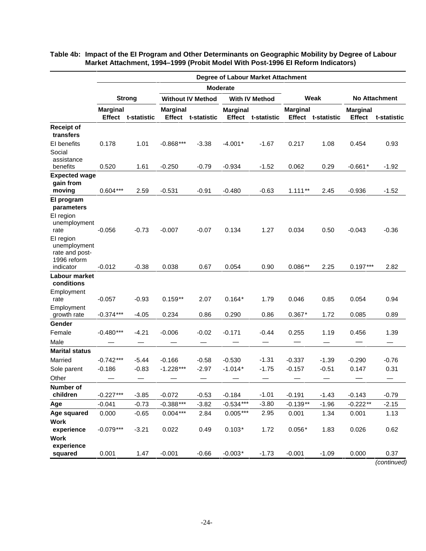|                                                                         | Degree of Labour Market Attachment |               |                 |                          |                 |                       |                 |                           |                                  |             |  |
|-------------------------------------------------------------------------|------------------------------------|---------------|-----------------|--------------------------|-----------------|-----------------------|-----------------|---------------------------|----------------------------------|-------------|--|
|                                                                         |                                    |               |                 |                          | <b>Moderate</b> |                       |                 |                           |                                  |             |  |
|                                                                         |                                    | <b>Strong</b> |                 | <b>Without IV Method</b> |                 | <b>With IV Method</b> |                 | Weak                      | <b>No Attachment</b>             |             |  |
|                                                                         | <b>Marginal</b><br>Effect          | t-statistic   | <b>Marginal</b> | Effect t-statistic       | <b>Marginal</b> | Effect t-statistic    | <b>Marginal</b> | <b>Effect t-statistic</b> | <b>Marginal</b><br><b>Effect</b> | t-statistic |  |
| <b>Receipt of</b><br>transfers                                          |                                    |               |                 |                          |                 |                       |                 |                           |                                  |             |  |
| El benefits<br>Social<br>assistance                                     | 0.178                              | 1.01          | $-0.868***$     | $-3.38$                  | $-4.001*$       | $-1.67$               | 0.217           | 1.08                      | 0.454                            | 0.93        |  |
| benefits                                                                | 0.520                              | 1.61          | $-0.250$        | $-0.79$                  | $-0.934$        | $-1.52$               | 0.062           | 0.29                      | $-0.661*$                        | $-1.92$     |  |
| <b>Expected wage</b><br>gain from<br>moving                             | $0.604***$                         | 2.59          | $-0.531$        | $-0.91$                  | $-0.480$        | $-0.63$               | $1.111**$       | 2.45                      | $-0.936$                         | $-1.52$     |  |
| El program<br>parameters                                                |                                    |               |                 |                          |                 |                       |                 |                           |                                  |             |  |
| EI region<br>unemployment<br>rate                                       | $-0.056$                           | $-0.73$       | $-0.007$        | $-0.07$                  | 0.134           | 1.27                  | 0.034           | 0.50                      | $-0.043$                         | $-0.36$     |  |
| EI region<br>unemployment<br>rate and post-<br>1996 reform<br>indicator | $-0.012$                           | $-0.38$       | 0.038           | 0.67                     | 0.054           | 0.90                  | $0.086**$       | 2.25                      | $0.197***$                       | 2.82        |  |
| Labour market<br>conditions                                             |                                    |               |                 |                          |                 |                       |                 |                           |                                  |             |  |
| Employment<br>rate                                                      | $-0.057$                           | $-0.93$       | $0.159**$       | 2.07                     | $0.164*$        | 1.79                  | 0.046           | 0.85                      | 0.054                            | 0.94        |  |
| Employment<br>growth rate                                               | $-0.374***$                        | $-4.05$       | 0.234           | 0.86                     | 0.290           | 0.86                  | $0.367*$        | 1.72                      | 0.085                            | 0.89        |  |
| Gender                                                                  |                                    |               |                 |                          |                 |                       |                 |                           |                                  |             |  |
| Female                                                                  | $-0.480***$                        | $-4.21$       | $-0.006$        | $-0.02$                  | $-0.171$        | -0.44                 | 0.255           | 1.19                      | 0.456                            | 1.39        |  |
| Male                                                                    |                                    |               |                 |                          |                 |                       |                 |                           |                                  |             |  |
| <b>Marital status</b>                                                   |                                    |               |                 |                          |                 |                       |                 |                           |                                  |             |  |
| Married                                                                 | $-0.742***$                        | $-5.44$       | $-0.166$        | $-0.58$                  | $-0.530$        | $-1.31$               | $-0.337$        | $-1.39$                   | $-0.290$                         | $-0.76$     |  |
| Sole parent                                                             | $-0.186$                           | $-0.83$       | $-1.228***$     | $-2.97$                  | $-1.014*$       | $-1.75$               | $-0.157$        | $-0.51$                   | 0.147                            | 0.31        |  |
| Other                                                                   |                                    |               |                 |                          |                 |                       |                 |                           |                                  |             |  |
| Number of<br>children                                                   | $-0.227***$                        | $-3.85$       | $-0.072$        | $-0.53$                  | $-0.184$        | $-1.01$               | $-0.191$        | $-1.43$                   | $-0.143$                         | $-0.79$     |  |
| Age                                                                     | $-0.041$                           | $-0.73$       | $-0.388***$     | $-3.82$                  | $-0.534***$     | $-3.80$               | $-0.139**$      | $-1.96$                   | $-0.222**$                       | $-2.15$     |  |
| Age squared                                                             | 0.000                              | $-0.65$       | $0.004***$      | 2.84                     | $0.005***$      | 2.95                  | 0.001           | 1.34                      | 0.001                            | 1.13        |  |
| <b>Work</b>                                                             |                                    |               |                 |                          |                 |                       |                 |                           |                                  |             |  |
| experience<br><b>Work</b>                                               | $-0.079***$                        | $-3.21$       | 0.022           | 0.49                     | $0.103*$        | 1.72                  | $0.056*$        | 1.83                      | 0.026                            | 0.62        |  |
| experience<br>squared                                                   | 0.001                              | 1.47          | $-0.001$        | $-0.66$                  | $-0.003*$       | $-1.73$               | $-0.001$        | $-1.09$                   | 0.000                            | 0.37        |  |

**Table 4b: Impact of the EI Program and Other Determinants on Geographic Mobility by Degree of Labour Market Attachment, 1994–1999 (Probit Model With Post-1996 EI Reform Indicators)**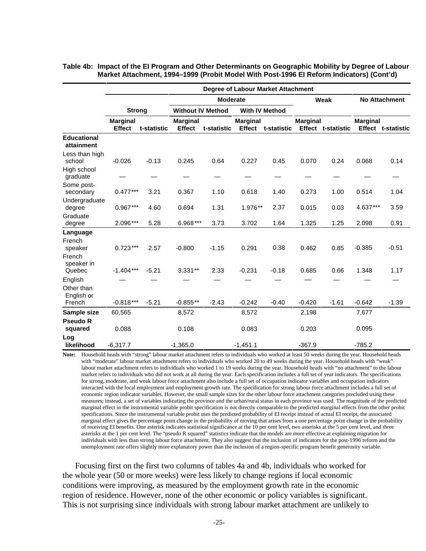|                                           |                                  | <b>Degree of Labour Market Attachment</b> |                                  |                 |                                  |                       |                 |                           |                 |                           |  |  |
|-------------------------------------------|----------------------------------|-------------------------------------------|----------------------------------|-----------------|----------------------------------|-----------------------|-----------------|---------------------------|-----------------|---------------------------|--|--|
|                                           |                                  |                                           |                                  | <b>Moderate</b> |                                  |                       |                 | Weak                      |                 | <b>No Attachment</b>      |  |  |
|                                           | <b>Strong</b>                    |                                           | <b>Without IV Method</b>         |                 |                                  | <b>With IV Method</b> |                 |                           |                 |                           |  |  |
|                                           | <b>Marginal</b><br><b>Effect</b> | t-statistic                               | <b>Marginal</b><br><b>Effect</b> | t-statistic     | <b>Marginal</b><br><b>Effect</b> | t-statistic           | <b>Marginal</b> | <b>Effect t-statistic</b> | <b>Marginal</b> | <b>Effect t-statistic</b> |  |  |
| <b>Educational</b><br>attainment          |                                  |                                           |                                  |                 |                                  |                       |                 |                           |                 |                           |  |  |
| Less than high<br>school                  | $-0.026$                         | $-0.13$                                   | 0.245                            | 0.64            | 0.227                            | 0.45                  | 0.070           | 0.24                      | 0.068           | 0.14                      |  |  |
| High school<br>graduate                   |                                  |                                           |                                  |                 |                                  |                       |                 |                           |                 |                           |  |  |
| Some post-<br>secondary                   | $0.477***$                       | 3.21                                      | 0.367                            | 1.10            | 0.618                            | 1.40                  | 0.273           | 1.00                      | 0.514           | 1.04                      |  |  |
| Undergraduate<br>degree                   | $0.967***$                       | 4.60                                      | 0.694                            | 1.31            | 1.976**                          | 2.37                  | 0.015           | 0.03                      | 4.637***        | 3.59                      |  |  |
| Graduate<br>degree                        | 2.096***                         | 5.28                                      | 6.968***                         | 3.73            | 3.702                            | 1.64                  | 1.325           | 1.25                      | 2.098           | 0.91                      |  |  |
| Language<br>French<br>speaker<br>French   | $0.723***$                       | 2.57                                      | $-0.800$                         | $-1.15$         | 0.291                            | 0.38                  | 0.462           | 0.85                      | $-0.385$        | $-0.51$                   |  |  |
| speaker in<br>Quebec                      | $-1.404***$                      | $-5.21$                                   | $3.331**$                        | 2.33            | $-0.231$                         | $-0.18$               | 0.685           | 0.66                      | 1.348           | 1.17                      |  |  |
| English<br>Other than<br>English or       |                                  |                                           |                                  |                 |                                  |                       |                 |                           |                 |                           |  |  |
| French                                    | $-0.818***$                      | $-5.21$                                   | $-0.855**$                       | $-2.43$         | $-0.242$                         | $-0.40$               | $-0.420$        | $-1.61$                   | $-0.642$        | $-1.39$                   |  |  |
| Sample size<br><b>Pseudo R</b><br>squared | 60,565<br>0.088                  |                                           | 8,572<br>0.108                   |                 | 8,572<br>0.083                   |                       | 2,198<br>0.203  |                           | 7,677<br>0.095  |                           |  |  |
| Log<br>likelihood                         | $-6,317.7$                       |                                           | $-1,365.0$                       |                 | $-1,451.1$                       |                       | $-367.9$        |                           | $-785.2$        |                           |  |  |

#### **Table 4b: Impact of the EI Program and Other Determinants on Geographic Mobility by Degree of Labour Market Attachment, 1994–1999 (Probit Model With Post-1996 EI Reform Indicators) (Cont'd)**

**Note:** Household heads with "strong" labour market attachment refers to individuals who worked at least 50 weeks during the year. Household heads with "moderate" labour market attachment refers to individuals who worked 20 to 49 weeks during the year. Household heads with "weak" labour market attachment refers to individuals who worked 1 to 19 weeks during the year. Household heads with "no attachment" to the labour market refers to individuals who did not work at all during the year. Each specification includes a full set of year indicators. The specifications for strong, moderate, and weak labour force attachment also include a full set of occupation indicator variables and occupation indicators interacted with the local employment and employment growth rate. The specification for strong labour force attachment includes a full set of economic region indicator variables. However, the small sample sizes for the other labour force attachment categories precluded using these measures; instead, a set of variables indicating the province and the urban/rural status in each province was used. The magnitude of the predicted marginal effect in the instrumental variable probit specification is not directly comparable to the predicted marginal effects from the other probit specifications. Since the instrumental variable probit uses the predicted probability of EI receipt instead of actual EI receipt, the associated marginal effect gives the percentage point change in the probability of moving that arises from a one percentage point change in the probability of receiving EI benefits. One asterisk indicates statistical significance at the 10 per cent level, two asterisks at the 5 per cent level, and three asterisks at the 1 per cent level. The "pseudo R squared" statistics indicate that the models are more effective at explaining migration for individuals with less than strong labour force attachment. They also suggest that the inclusion of indicators for the post-1996 reform and the unemployment rate offers slightly more explanatory power than the inclusion of a region-specific program benefit generosity variable.

Focusing first on the first two columns of tables 4a and 4b, individuals who worked for the whole year (50 or more weeks) were less likely to change regions if local economic conditions were improving, as measured by the employment growth rate in the economic region of residence. However, none of the other economic or policy variables is significant. This is not surprising since individuals with strong labour market attachment are unlikely to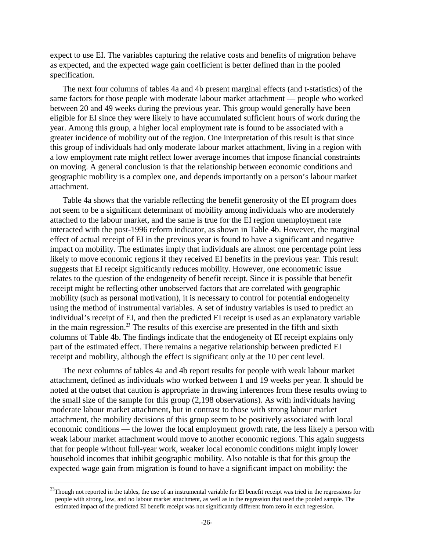expect to use EI. The variables capturing the relative costs and benefits of migration behave as expected, and the expected wage gain coefficient is better defined than in the pooled specification.

The next four columns of tables 4a and 4b present marginal effects (and t-statistics) of the same factors for those people with moderate labour market attachment — people who worked between 20 and 49 weeks during the previous year. This group would generally have been eligible for EI since they were likely to have accumulated sufficient hours of work during the year. Among this group, a higher local employment rate is found to be associated with a greater incidence of mobility out of the region. One interpretation of this result is that since this group of individuals had only moderate labour market attachment, living in a region with a low employment rate might reflect lower average incomes that impose financial constraints on moving. A general conclusion is that the relationship between economic conditions and geographic mobility is a complex one, and depends importantly on a person's labour market attachment.

Table 4a shows that the variable reflecting the benefit generosity of the EI program does not seem to be a significant determinant of mobility among individuals who are moderately attached to the labour market, and the same is true for the EI region unemployment rate interacted with the post-1996 reform indicator, as shown in Table 4b. However, the marginal effect of actual receipt of EI in the previous year is found to have a significant and negative impact on mobility. The estimates imply that individuals are almost one percentage point less likely to move economic regions if they received EI benefits in the previous year. This result suggests that EI receipt significantly reduces mobility. However, one econometric issue relates to the question of the endogeneity of benefit receipt. Since it is possible that benefit receipt might be reflecting other unobserved factors that are correlated with geographic mobility (such as personal motivation), it is necessary to control for potential endogeneity using the method of instrumental variables. A set of industry variables is used to predict an individual's receipt of EI, and then the predicted EI receipt is used as an explanatory variable in the main regression.<sup>23</sup> The results of this exercise are presented in the fifth and sixth columns of Table 4b. The findings indicate that the endogeneity of EI receipt explains only part of the estimated effect. There remains a negative relationship between predicted EI receipt and mobility, although the effect is significant only at the 10 per cent level.

The next columns of tables 4a and 4b report results for people with weak labour market attachment, defined as individuals who worked between 1 and 19 weeks per year. It should be noted at the outset that caution is appropriate in drawing inferences from these results owing to the small size of the sample for this group (2,198 observations). As with individuals having moderate labour market attachment, but in contrast to those with strong labour market attachment, the mobility decisions of this group seem to be positively associated with local economic conditions — the lower the local employment growth rate, the less likely a person with weak labour market attachment would move to another economic regions. This again suggests that for people without full-year work, weaker local economic conditions might imply lower household incomes that inhibit geographic mobility. Also notable is that for this group the expected wage gain from migration is found to have a significant impact on mobility: the

<sup>&</sup>lt;sup>23</sup>Though not reported in the tables, the use of an instrumental variable for EI benefit receipt was tried in the regressions for people with strong, low, and no labour market attachment, as well as in the regression that used the pooled sample. The estimated impact of the predicted EI benefit receipt was not significantly different from zero in each regression.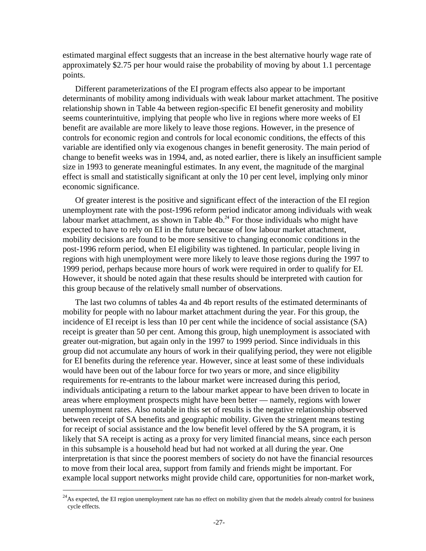estimated marginal effect suggests that an increase in the best alternative hourly wage rate of approximately \$2.75 per hour would raise the probability of moving by about 1.1 percentage points.

Different parameterizations of the EI program effects also appear to be important determinants of mobility among individuals with weak labour market attachment. The positive relationship shown in Table 4a between region-specific EI benefit generosity and mobility seems counterintuitive, implying that people who live in regions where more weeks of EI benefit are available are more likely to leave those regions. However, in the presence of controls for economic region and controls for local economic conditions, the effects of this variable are identified only via exogenous changes in benefit generosity. The main period of change to benefit weeks was in 1994, and, as noted earlier, there is likely an insufficient sample size in 1993 to generate meaningful estimates. In any event, the magnitude of the marginal effect is small and statistically significant at only the 10 per cent level, implying only minor economic significance.

Of greater interest is the positive and significant effect of the interaction of the EI region unemployment rate with the post-1996 reform period indicator among individuals with weak labour market attachment, as shown in Table  $4b.^{24}$  For those individuals who might have expected to have to rely on EI in the future because of low labour market attachment, mobility decisions are found to be more sensitive to changing economic conditions in the post-1996 reform period, when EI eligibility was tightened. In particular, people living in regions with high unemployment were more likely to leave those regions during the 1997 to 1999 period, perhaps because more hours of work were required in order to qualify for EI. However, it should be noted again that these results should be interpreted with caution for this group because of the relatively small number of observations.

The last two columns of tables 4a and 4b report results of the estimated determinants of mobility for people with no labour market attachment during the year. For this group, the incidence of EI receipt is less than 10 per cent while the incidence of social assistance (SA) receipt is greater than 50 per cent. Among this group, high unemployment is associated with greater out-migration, but again only in the 1997 to 1999 period. Since individuals in this group did not accumulate any hours of work in their qualifying period, they were not eligible for EI benefits during the reference year. However, since at least some of these individuals would have been out of the labour force for two years or more, and since eligibility requirements for re-entrants to the labour market were increased during this period, individuals anticipating a return to the labour market appear to have been driven to locate in areas where employment prospects might have been better — namely, regions with lower unemployment rates. Also notable in this set of results is the negative relationship observed between receipt of SA benefits and geographic mobility. Given the stringent means testing for receipt of social assistance and the low benefit level offered by the SA program, it is likely that SA receipt is acting as a proxy for very limited financial means, since each person in this subsample is a household head but had not worked at all during the year. One interpretation is that since the poorest members of society do not have the financial resources to move from their local area, support from family and friends might be important. For example local support networks might provide child care, opportunities for non-market work,

 $^{24}$ As expected, the EI region unemployment rate has no effect on mobility given that the models already control for business cycle effects.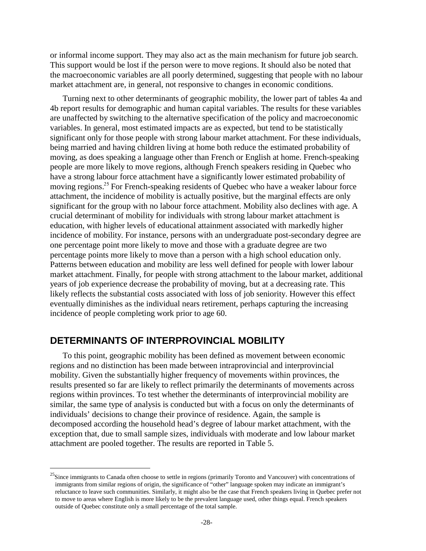or informal income support. They may also act as the main mechanism for future job search. This support would be lost if the person were to move regions. It should also be noted that the macroeconomic variables are all poorly determined, suggesting that people with no labour market attachment are, in general, not responsive to changes in economic conditions.

Turning next to other determinants of geographic mobility, the lower part of tables 4a and 4b report results for demographic and human capital variables. The results for these variables are unaffected by switching to the alternative specification of the policy and macroeconomic variables. In general, most estimated impacts are as expected, but tend to be statistically significant only for those people with strong labour market attachment. For these individuals, being married and having children living at home both reduce the estimated probability of moving, as does speaking a language other than French or English at home. French-speaking people are more likely to move regions, although French speakers residing in Quebec who have a strong labour force attachment have a significantly lower estimated probability of moving regions.<sup>25</sup> For French-speaking residents of Quebec who have a weaker labour force attachment, the incidence of mobility is actually positive, but the marginal effects are only significant for the group with no labour force attachment. Mobility also declines with age. A crucial determinant of mobility for individuals with strong labour market attachment is education, with higher levels of educational attainment associated with markedly higher incidence of mobility. For instance, persons with an undergraduate post-secondary degree are one percentage point more likely to move and those with a graduate degree are two percentage points more likely to move than a person with a high school education only. Patterns between education and mobility are less well defined for people with lower labour market attachment. Finally, for people with strong attachment to the labour market, additional years of job experience decrease the probability of moving, but at a decreasing rate. This likely reflects the substantial costs associated with loss of job seniority. However this effect eventually diminishes as the individual nears retirement, perhaps capturing the increasing incidence of people completing work prior to age 60.

#### **DETERMINANTS OF INTERPROVINCIAL MOBILITY**

 $\overline{a}$ 

To this point, geographic mobility has been defined as movement between economic regions and no distinction has been made between intraprovincial and interprovincial mobility. Given the substantially higher frequency of movements within provinces, the results presented so far are likely to reflect primarily the determinants of movements across regions within provinces. To test whether the determinants of interprovincial mobility are similar, the same type of analysis is conducted but with a focus on only the determinants of individuals' decisions to change their province of residence. Again, the sample is decomposed according the household head's degree of labour market attachment, with the exception that, due to small sample sizes, individuals with moderate and low labour market attachment are pooled together. The results are reported in Table 5.

<sup>&</sup>lt;sup>25</sup>Since immigrants to Canada often choose to settle in regions (primarily Toronto and Vancouver) with concentrations of immigrants from similar regions of origin, the significance of "other" language spoken may indicate an immigrant's reluctance to leave such communities. Similarly, it might also be the case that French speakers living in Quebec prefer not to move to areas where English is more likely to be the prevalent language used, other things equal. French speakers outside of Quebec constitute only a small percentage of the total sample.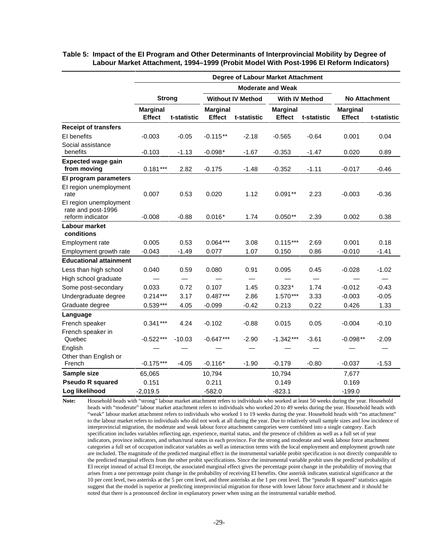|                                                                  | <b>Degree of Labour Market Attachment</b> |                                |                                  |                                                   |                                  |                          |                                  |                               |  |
|------------------------------------------------------------------|-------------------------------------------|--------------------------------|----------------------------------|---------------------------------------------------|----------------------------------|--------------------------|----------------------------------|-------------------------------|--|
|                                                                  |                                           |                                |                                  |                                                   |                                  |                          |                                  |                               |  |
|                                                                  | <b>Strong</b>                             |                                |                                  | <b>Without IV Method</b><br><b>With IV Method</b> |                                  |                          | <b>No Attachment</b>             |                               |  |
|                                                                  | <b>Marginal</b><br><b>Effect</b>          | t-statistic                    | <b>Marginal</b><br><b>Effect</b> | t-statistic                                       | <b>Marginal</b><br><b>Effect</b> | t-statistic              | <b>Marginal</b><br><b>Effect</b> | t-statistic                   |  |
| <b>Receipt of transfers</b>                                      |                                           |                                |                                  |                                                   |                                  |                          |                                  |                               |  |
| EI benefits                                                      | $-0.003$                                  | $-0.05$                        | $-0.115**$                       | $-2.18$                                           | $-0.565$                         | $-0.64$                  | 0.001                            | 0.04                          |  |
| Social assistance<br>benefits                                    | $-0.103$                                  | $-1.13$                        | $-0.098*$                        | $-1.67$                                           | $-0.353$                         | $-1.47$                  | 0.020                            | 0.89                          |  |
| <b>Expected wage gain</b><br>from moving                         | $0.181***$                                | 2.82                           | $-0.175$                         | $-1.48$                                           | $-0.352$                         | $-1.11$                  | $-0.017$                         | $-0.46$                       |  |
| El program parameters                                            |                                           |                                |                                  |                                                   |                                  |                          |                                  |                               |  |
| El region unemployment<br>rate                                   | 0.007                                     | 0.53                           | 0.020                            | 1.12                                              | $0.091**$                        | 2.23                     | $-0.003$                         | $-0.36$                       |  |
| El region unemployment<br>rate and post-1996<br>reform indicator | $-0.008$                                  | $-0.88$                        | $0.016*$                         | 1.74                                              | $0.050**$                        | 2.39                     | 0.002                            | 0.38                          |  |
| Labour market                                                    |                                           |                                |                                  |                                                   |                                  |                          |                                  |                               |  |
| conditions                                                       |                                           |                                |                                  |                                                   |                                  |                          |                                  |                               |  |
| Employment rate                                                  | 0.005                                     | 0.53                           | $0.064***$                       | 3.08                                              | $0.115***$                       | 2.69                     | 0.001                            | 0.18                          |  |
| Employment growth rate                                           | $-0.043$                                  | -1.49                          | 0.077                            | 1.07                                              | 0.150                            | 0.86                     | $-0.010$                         | $-1.41$                       |  |
| <b>Educational attainment</b>                                    |                                           |                                |                                  |                                                   |                                  |                          |                                  |                               |  |
| Less than high school                                            | 0.040                                     | 0.59                           | 0.080                            | 0.91                                              | 0.095                            | 0.45                     | $-0.028$                         | $-1.02$                       |  |
| High school graduate                                             |                                           | $\qquad \qquad \longleftarrow$ |                                  | $\qquad \qquad$                                   |                                  | $\overline{\phantom{m}}$ |                                  | $\overbrace{\phantom{13333}}$ |  |
| Some post-secondary                                              | 0.033                                     | 0.72                           | 0.107                            | 1.45                                              | $0.323*$                         | 1.74                     | $-0.012$                         | $-0.43$                       |  |
| Undergraduate degree                                             | $0.214***$                                | 3.17                           | $0.487***$                       | 2.86                                              | $1.570***$                       | 3.33                     | $-0.003$                         | $-0.05$                       |  |
| Graduate degree                                                  | $0.539***$                                | 4.05                           | $-0.099$                         | $-0.42$                                           | 0.213                            | 0.22                     | 0.426                            | 1.33                          |  |
| Language                                                         |                                           |                                |                                  |                                                   |                                  |                          |                                  |                               |  |
| French speaker                                                   | $0.341***$                                | 4.24                           | $-0.102$                         | $-0.88$                                           | 0.015                            | 0.05                     | $-0.004$                         | $-0.10$                       |  |
| French speaker in<br>Quebec                                      | $-0.522***$                               | $-10.03$                       | $-0.647***$                      | $-2.90$                                           | $-1.342***$                      | $-3.61$                  | $-0.098**$                       | $-2.09$                       |  |
| English                                                          |                                           |                                |                                  |                                                   |                                  |                          |                                  |                               |  |
| Other than English or<br>French                                  | $-0.175***$                               | $-4.05$                        | $-0.116*$                        | $-1.90$                                           | $-0.179$                         | $-0.80$                  | $-0.037$                         | $-1.53$                       |  |
| Sample size                                                      | 65,065                                    |                                | 10,794                           |                                                   | 10,794                           |                          | 7,677                            |                               |  |
| <b>Pseudo R squared</b>                                          | 0.151                                     |                                | 0.211                            |                                                   | 0.149                            |                          | 0.169                            |                               |  |
| Log likelihood                                                   | $-2,019.5$                                |                                | $-582.0$                         |                                                   | $-823.1$                         |                          | $-199.0$                         |                               |  |

**Table 5: Impact of the EI Program and Other Determinants of Interprovincial Mobility by Degree of Labour Market Attachment, 1994–1999 (Probit Model With Post-1996 EI Reform Indicators)** 

**Note:** Household heads with "strong" labour market attachment refers to individuals who worked at least 50 weeks during the year. Household heads with "moderate" labour market attachment refers to individuals who worked 20 to 49 weeks during the year. Household heads with "weak" labour market attachment refers to individuals who worked 1 to 19 weeks during the year. Household heads with "no attachment" to the labour market refers to individuals who did not work at all during the year. Due to relatively small sample sizes and low incidence of interprovincial migration, the moderate and weak labour force attachment categories were combined into a single category. Each specification includes variables reflecting age, experience, marital status, and the presence of children as well as a full set of year indicators, province indicators, and urban/rural status in each province. For the strong and moderate and weak labour force attachment categories a full set of occupation indicator variables as well as interaction terms with the local employment and employment growth rate are included. The magnitude of the predicted marginal effect in the instrumental variable probit specification is not directly comparable to the predicted marginal effects from the other probit specifications. Since the instrumental variable probit uses the predicted probability of EI receipt instead of actual EI receipt, the associated marginal effect gives the percentage point change in the probability of moving that arises from a one percentage point change in the probability of receiving EI benefits. One asterisk indicates statistical significance at the 10 per cent level, two asterisks at the 5 per cent level, and three asterisks at the 1 per cent level. The "pseudo R squared" statistics again suggest that the model is superior at predicting interprovincial migration for those with lower labour force attachment and it should be noted that there is a pronounced decline in explanatory power when using an the instrumental variable method.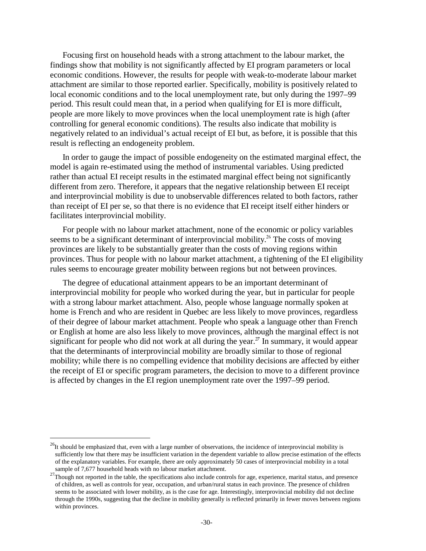Focusing first on household heads with a strong attachment to the labour market, the findings show that mobility is not significantly affected by EI program parameters or local economic conditions. However, the results for people with weak-to-moderate labour market attachment are similar to those reported earlier. Specifically, mobility is positively related to local economic conditions and to the local unemployment rate, but only during the 1997–99 period. This result could mean that, in a period when qualifying for EI is more difficult, people are more likely to move provinces when the local unemployment rate is high (after controlling for general economic conditions). The results also indicate that mobility is negatively related to an individual's actual receipt of EI but, as before, it is possible that this result is reflecting an endogeneity problem.

In order to gauge the impact of possible endogeneity on the estimated marginal effect, the model is again re-estimated using the method of instrumental variables. Using predicted rather than actual EI receipt results in the estimated marginal effect being not significantly different from zero. Therefore, it appears that the negative relationship between EI receipt and interprovincial mobility is due to unobservable differences related to both factors, rather than receipt of EI per se, so that there is no evidence that EI receipt itself either hinders or facilitates interprovincial mobility.

For people with no labour market attachment, none of the economic or policy variables seems to be a significant determinant of interprovincial mobility.<sup>26</sup> The costs of moving provinces are likely to be substantially greater than the costs of moving regions within provinces. Thus for people with no labour market attachment, a tightening of the EI eligibility rules seems to encourage greater mobility between regions but not between provinces.

The degree of educational attainment appears to be an important determinant of interprovincial mobility for people who worked during the year, but in particular for people with a strong labour market attachment. Also, people whose language normally spoken at home is French and who are resident in Quebec are less likely to move provinces, regardless of their degree of labour market attachment. People who speak a language other than French or English at home are also less likely to move provinces, although the marginal effect is not significant for people who did not work at all during the year.<sup>27</sup> In summary, it would appear that the determinants of interprovincial mobility are broadly similar to those of regional mobility; while there is no compelling evidence that mobility decisions are affected by either the receipt of EI or specific program parameters, the decision to move to a different province is affected by changes in the EI region unemployment rate over the 1997–99 period.

 $^{26}$ It should be emphasized that, even with a large number of observations, the incidence of interprovincial mobility is sufficiently low that there may be insufficient variation in the dependent variable to allow precise estimation of the effects of the explanatory variables. For example, there are only approximately 50 cases of interprovincial mobility in a total

sample of 7,677 household heads with no labour market attachment.<br><sup>27</sup>Though not reported in the table, the specifications also include controls for age, experience, marital status, and presence of children, as well as controls for year, occupation, and urban/rural status in each province. The presence of children seems to be associated with lower mobility, as is the case for age. Interestingly, interprovincial mobility did not decline through the 1990s, suggesting that the decline in mobility generally is reflected primarily in fewer moves between regions within provinces.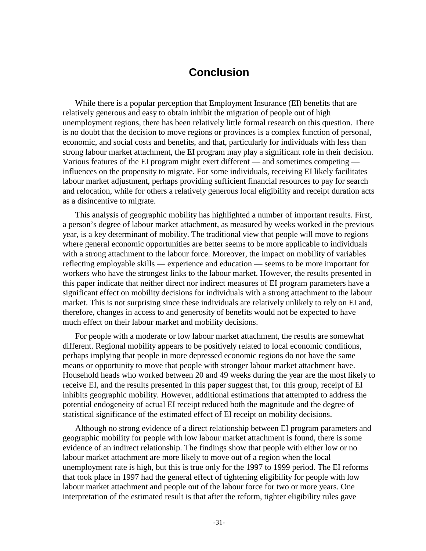### **Conclusion**

While there is a popular perception that Employment Insurance (EI) benefits that are relatively generous and easy to obtain inhibit the migration of people out of high unemployment regions, there has been relatively little formal research on this question. There is no doubt that the decision to move regions or provinces is a complex function of personal, economic, and social costs and benefits, and that, particularly for individuals with less than strong labour market attachment, the EI program may play a significant role in their decision. Various features of the EI program might exert different — and sometimes competing influences on the propensity to migrate. For some individuals, receiving EI likely facilitates labour market adjustment, perhaps providing sufficient financial resources to pay for search and relocation, while for others a relatively generous local eligibility and receipt duration acts as a disincentive to migrate.

This analysis of geographic mobility has highlighted a number of important results. First, a person's degree of labour market attachment, as measured by weeks worked in the previous year, is a key determinant of mobility. The traditional view that people will move to regions where general economic opportunities are better seems to be more applicable to individuals with a strong attachment to the labour force. Moreover, the impact on mobility of variables reflecting employable skills — experience and education — seems to be more important for workers who have the strongest links to the labour market. However, the results presented in this paper indicate that neither direct nor indirect measures of EI program parameters have a significant effect on mobility decisions for individuals with a strong attachment to the labour market. This is not surprising since these individuals are relatively unlikely to rely on EI and, therefore, changes in access to and generosity of benefits would not be expected to have much effect on their labour market and mobility decisions.

For people with a moderate or low labour market attachment, the results are somewhat different. Regional mobility appears to be positively related to local economic conditions, perhaps implying that people in more depressed economic regions do not have the same means or opportunity to move that people with stronger labour market attachment have. Household heads who worked between 20 and 49 weeks during the year are the most likely to receive EI, and the results presented in this paper suggest that, for this group, receipt of EI inhibits geographic mobility. However, additional estimations that attempted to address the potential endogeneity of actual EI receipt reduced both the magnitude and the degree of statistical significance of the estimated effect of EI receipt on mobility decisions.

Although no strong evidence of a direct relationship between EI program parameters and geographic mobility for people with low labour market attachment is found, there is some evidence of an indirect relationship. The findings show that people with either low or no labour market attachment are more likely to move out of a region when the local unemployment rate is high, but this is true only for the 1997 to 1999 period. The EI reforms that took place in 1997 had the general effect of tightening eligibility for people with low labour market attachment and people out of the labour force for two or more years. One interpretation of the estimated result is that after the reform, tighter eligibility rules gave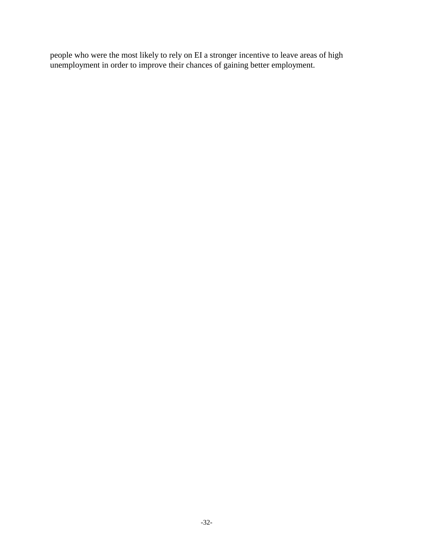people who were the most likely to rely on EI a stronger incentive to leave areas of high unemployment in order to improve their chances of gaining better employment.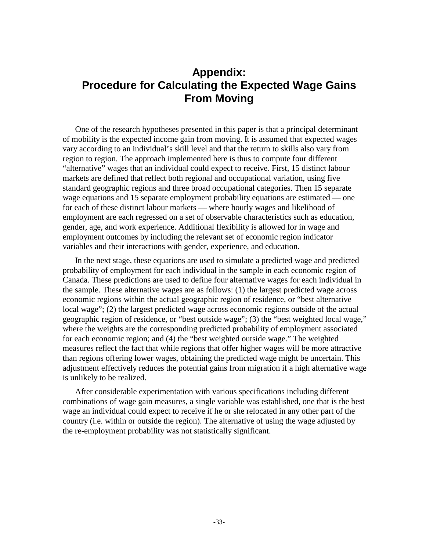## **Appendix: Procedure for Calculating the Expected Wage Gains From Moving**

One of the research hypotheses presented in this paper is that a principal determinant of mobility is the expected income gain from moving. It is assumed that expected wages vary according to an individual's skill level and that the return to skills also vary from region to region. The approach implemented here is thus to compute four different "alternative" wages that an individual could expect to receive. First, 15 distinct labour markets are defined that reflect both regional and occupational variation, using five standard geographic regions and three broad occupational categories. Then 15 separate wage equations and 15 separate employment probability equations are estimated — one for each of these distinct labour markets — where hourly wages and likelihood of employment are each regressed on a set of observable characteristics such as education, gender, age, and work experience. Additional flexibility is allowed for in wage and employment outcomes by including the relevant set of economic region indicator variables and their interactions with gender, experience, and education.

In the next stage, these equations are used to simulate a predicted wage and predicted probability of employment for each individual in the sample in each economic region of Canada. These predictions are used to define four alternative wages for each individual in the sample. These alternative wages are as follows: (1) the largest predicted wage across economic regions within the actual geographic region of residence, or "best alternative local wage"; (2) the largest predicted wage across economic regions outside of the actual geographic region of residence, or "best outside wage"; (3) the "best weighted local wage," where the weights are the corresponding predicted probability of employment associated for each economic region; and (4) the "best weighted outside wage." The weighted measures reflect the fact that while regions that offer higher wages will be more attractive than regions offering lower wages, obtaining the predicted wage might be uncertain. This adjustment effectively reduces the potential gains from migration if a high alternative wage is unlikely to be realized.

After considerable experimentation with various specifications including different combinations of wage gain measures, a single variable was established, one that is the best wage an individual could expect to receive if he or she relocated in any other part of the country (i.e. within or outside the region). The alternative of using the wage adjusted by the re-employment probability was not statistically significant.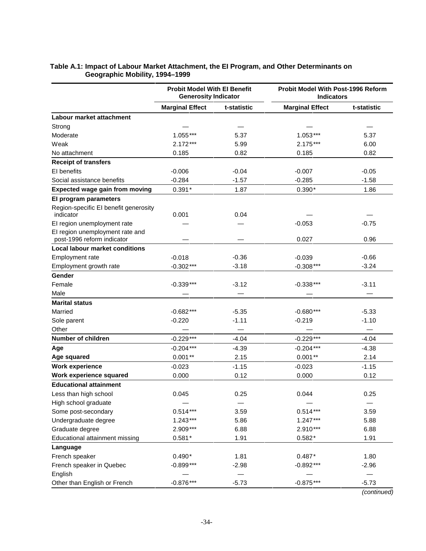|                                                               | <b>Probit Model With El Benefit</b><br><b>Generosity Indicator</b> |             | <b>Probit Model With Post-1996 Reform</b><br><b>Indicators</b> |             |
|---------------------------------------------------------------|--------------------------------------------------------------------|-------------|----------------------------------------------------------------|-------------|
|                                                               | <b>Marginal Effect</b>                                             | t-statistic | <b>Marginal Effect</b>                                         | t-statistic |
| Labour market attachment                                      |                                                                    |             |                                                                |             |
| Strong                                                        |                                                                    |             |                                                                |             |
| Moderate                                                      | $1.055***$                                                         | 5.37        | $1.053***$                                                     | 5.37        |
| Weak                                                          | $2.172***$                                                         | 5.99        | $2.175***$                                                     | 6.00        |
| No attachment                                                 | 0.185                                                              | 0.82        | 0.185                                                          | 0.82        |
| <b>Receipt of transfers</b>                                   |                                                                    |             |                                                                |             |
| EI benefits                                                   | $-0.006$                                                           | $-0.04$     | $-0.007$                                                       | $-0.05$     |
| Social assistance benefits                                    | $-0.284$                                                           | $-1.57$     | $-0.285$                                                       | $-1.58$     |
| <b>Expected wage gain from moving</b>                         | $0.391*$                                                           | 1.87        | $0.390*$                                                       | 1.86        |
| El program parameters                                         |                                                                    |             |                                                                |             |
| Region-specific EI benefit generosity                         |                                                                    |             |                                                                |             |
| indicator                                                     | 0.001                                                              | 0.04        |                                                                |             |
| El region unemployment rate                                   |                                                                    |             | $-0.053$                                                       | $-0.75$     |
| El region unemployment rate and<br>post-1996 reform indicator |                                                                    |             | 0.027                                                          | 0.96        |
| <b>Local labour market conditions</b>                         |                                                                    |             |                                                                |             |
| Employment rate                                               | $-0.018$                                                           | $-0.36$     | $-0.039$                                                       | $-0.66$     |
| Employment growth rate                                        | $-0.302***$                                                        | $-3.18$     | $-0.308***$                                                    | $-3.24$     |
| Gender                                                        |                                                                    |             |                                                                |             |
| Female                                                        | $-0.339***$                                                        | $-3.12$     | $-0.338***$                                                    | $-3.11$     |
| Male                                                          |                                                                    |             |                                                                |             |
| <b>Marital status</b>                                         |                                                                    |             |                                                                |             |
| Married                                                       | $-0.682***$                                                        | $-5.35$     | $-0.680***$                                                    | $-5.33$     |
| Sole parent                                                   | $-0.220$                                                           | $-1.11$     | $-0.219$                                                       | $-1.10$     |
| Other                                                         |                                                                    |             |                                                                |             |
| <b>Number of children</b>                                     | $-0.229***$                                                        | $-4.04$     | $-0.229***$                                                    | -4.04       |
| Age                                                           | $-0.204***$                                                        | $-4.39$     | $-0.204***$                                                    | $-4.38$     |
| Age squared                                                   | $0.001**$                                                          | 2.15        | $0.001**$                                                      | 2.14        |
| <b>Work experience</b>                                        | $-0.023$                                                           | $-1.15$     | $-0.023$                                                       | $-1.15$     |
| Work experience squared                                       | 0.000                                                              | 0.12        | 0.000                                                          | 0.12        |
| <b>Educational attainment</b>                                 |                                                                    |             |                                                                |             |
| Less than high school                                         | 0.045                                                              | 0.25        | 0.044                                                          | 0.25        |
| High school graduate                                          |                                                                    |             |                                                                |             |
| Some post-secondary                                           | $0.514***$                                                         | 3.59        | $0.514***$                                                     | 3.59        |
| Undergraduate degree                                          | $1.243***$                                                         | 5.86        | $1.247***$                                                     | 5.88        |
| Graduate degree                                               | 2.909***                                                           | 6.88        | 2.910***                                                       | 6.88        |
| Educational attainment missing                                | $0.581*$                                                           | 1.91        | $0.582*$                                                       | 1.91        |
| Language                                                      |                                                                    |             |                                                                |             |
| French speaker                                                | $0.490*$                                                           | 1.81        | $0.487*$                                                       | 1.80        |
| French speaker in Quebec                                      | $-0.899***$                                                        | $-2.98$     | $-0.892***$                                                    | $-2.96$     |
| English                                                       |                                                                    |             |                                                                |             |
| Other than English or French                                  | $-0.876***$                                                        | $-5.73$     | $-0.875***$                                                    | $-5.73$     |

#### **Table A.1: Impact of Labour Market Attachment, the EI Program, and Other Determinants on Geographic Mobility, 1994–1999**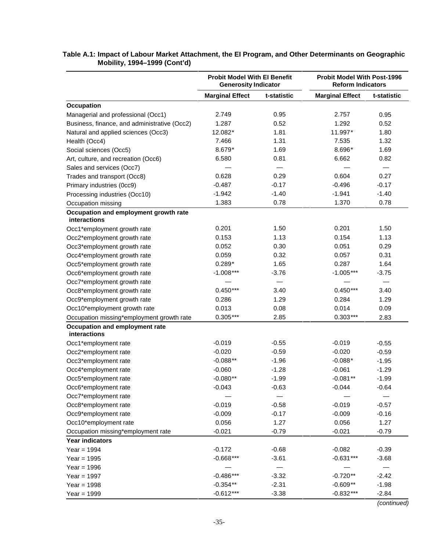|                                                | <b>Probit Model With El Benefit</b><br><b>Generosity Indicator</b> |             | <b>Probit Model With Post-1996</b><br><b>Reform Indicators</b> |             |
|------------------------------------------------|--------------------------------------------------------------------|-------------|----------------------------------------------------------------|-------------|
|                                                | <b>Marginal Effect</b>                                             | t-statistic | <b>Marginal Effect</b>                                         | t-statistic |
| Occupation                                     |                                                                    |             |                                                                |             |
| Managerial and professional (Occ1)             | 2.749                                                              | 0.95        | 2.757                                                          | 0.95        |
| Business, finance, and administrative (Occ2)   | 1.287                                                              | 0.52        | 1.292                                                          | 0.52        |
| Natural and applied sciences (Occ3)            | 12.082*                                                            | 1.81        | 11.997*                                                        | 1.80        |
| Health (Occ4)                                  | 7.466                                                              | 1.31        | 7.535                                                          | 1.32        |
| Social sciences (Occ5)                         | 8.679*                                                             | 1.69        | 8.696*                                                         | 1.69        |
| Art, culture, and recreation (Occ6)            | 6.580<br>0.81                                                      |             | 6.662                                                          | 0.82        |
| Sales and services (Occ7)                      |                                                                    |             |                                                                |             |
| Trades and transport (Occ8)                    | 0.628                                                              | 0.29        | 0.604                                                          | 0.27        |
| Primary industries (0cc9)                      | $-0.487$                                                           | $-0.17$     | $-0.496$                                                       | $-0.17$     |
| Processing industries (Occ10)                  | $-1.942$                                                           | $-1.40$     | $-1.941$                                                       | $-1.40$     |
| Occupation missing                             | 1.383                                                              | 0.78        | 1.370                                                          | 0.78        |
| Occupation and employment growth rate          |                                                                    |             |                                                                |             |
| interactions                                   |                                                                    |             |                                                                |             |
| Occ1*employment growth rate                    | 0.201                                                              | 1.50        | 0.201                                                          | 1.50        |
| Occ2*employment growth rate                    | 0.153                                                              | 1.13        | 0.154                                                          | 1.13        |
| Occ3*employment growth rate                    | 0.052                                                              | 0.30        | 0.051                                                          | 0.29        |
| Occ4*employment growth rate                    | 0.059                                                              | 0.32        | 0.057                                                          | 0.31        |
| Occ5*employment growth rate                    | $0.289*$                                                           | 1.65        | 0.287                                                          | 1.64        |
| Occ6*employment growth rate                    | $-1.008***$                                                        | $-3.76$     | $-1.005***$                                                    | $-3.75$     |
| Occ7*employment growth rate                    |                                                                    |             |                                                                |             |
| Occ8*employment growth rate                    | $0.450***$                                                         | 3.40        | $0.450***$                                                     | 3.40        |
| Occ9*employment growth rate                    | 0.286                                                              | 1.29        | 0.284                                                          | 1.29        |
| Occ10*employment growth rate                   | 0.013                                                              | 0.08        | 0.014                                                          | 0.09        |
| Occupation missing*employment growth rate      | $0.305***$                                                         | 2.85        | $0.303***$                                                     | 2.83        |
| Occupation and employment rate<br>interactions |                                                                    |             |                                                                |             |
| Occ1*employment rate                           | $-0.019$                                                           | $-0.55$     | $-0.019$                                                       | $-0.55$     |
| Occ2*employment rate                           | $-0.020$                                                           | $-0.59$     | $-0.020$                                                       | $-0.59$     |
| Occ3*employment rate                           | $-0.088**$                                                         | $-1.96$     | $-0.088*$                                                      | $-1.95$     |
| Occ4*employment rate                           | $-0.060$                                                           | $-1.28$     | $-0.061$                                                       | $-1.29$     |
| Occ5*employment rate                           | $-0.080**$                                                         | $-1.99$     | $-0.081**$                                                     | $-1.99$     |
| Occ6*employment rate                           | $-0.043$                                                           | $-0.63$     | $-0.044$                                                       | $-0.64$     |
| Occ7*employment rate                           |                                                                    |             |                                                                |             |
| Occ8*employment rate                           | $-0.019$                                                           | $-0.58$     | $-0.019$                                                       | $-0.57$     |
| Occ9*employment rate                           | $-0.009$                                                           | $-0.17$     | $-0.009$                                                       | $-0.16$     |
| Occ10*employment rate                          | 0.056                                                              | 1.27        | 0.056                                                          | 1.27        |
| Occupation missing*employment rate             | $-0.021$                                                           | $-0.79$     | $-0.021$                                                       | $-0.79$     |
| <b>Year indicators</b>                         |                                                                    |             |                                                                |             |
| Year = $1994$                                  | $-0.172$                                                           | $-0.68$     | $-0.082$                                                       | $-0.39$     |
| Year = $1995$                                  | $-0.668***$                                                        | $-3.61$     | $-0.631***$                                                    | $-3.68$     |
| Year = $1996$                                  |                                                                    |             |                                                                |             |
| Year = $1997$                                  | $-0.486***$                                                        | $-3.32$     | $-0.720**$                                                     | $-2.42$     |
| Year = $1998$                                  | $-0.354**$                                                         | $-2.31$     | $-0.609**$                                                     | $-1.98$     |
| Year = $1999$                                  | $-0.612***$                                                        | $-3.38$     | $-0.832***$                                                    | $-2.84$     |

#### **Table A.1: Impact of Labour Market Attachment, the EI Program, and Other Determinants on Geographic Mobility, 1994–1999 (Cont'd)**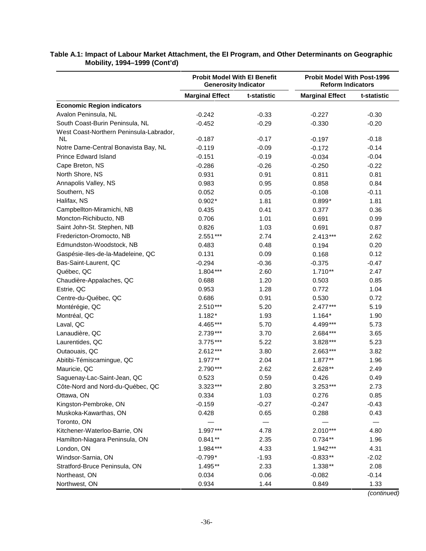|                                         | <b>Probit Model With El Benefit</b><br><b>Generosity Indicator</b> |             | <b>Probit Model With Post-1996</b><br><b>Reform Indicators</b> |             |
|-----------------------------------------|--------------------------------------------------------------------|-------------|----------------------------------------------------------------|-------------|
|                                         | <b>Marginal Effect</b>                                             | t-statistic | <b>Marginal Effect</b>                                         | t-statistic |
| <b>Economic Region indicators</b>       |                                                                    |             |                                                                |             |
| Avalon Peninsula, NL                    | $-0.242$                                                           | $-0.33$     | $-0.227$                                                       | $-0.30$     |
| South Coast-Burin Peninsula, NL         | $-0.452$                                                           | $-0.29$     | $-0.330$                                                       | $-0.20$     |
| West Coast-Northern Peninsula-Labrador, |                                                                    |             |                                                                |             |
| NL.                                     | $-0.187$                                                           | $-0.17$     | $-0.197$                                                       | $-0.18$     |
| Notre Dame-Central Bonavista Bay, NL    | $-0.119$                                                           | $-0.09$     | $-0.172$                                                       | $-0.14$     |
| Prince Edward Island                    | $-0.151$                                                           | $-0.19$     | $-0.034$                                                       | $-0.04$     |
| Cape Breton, NS                         | $-0.286$                                                           | $-0.26$     | $-0.250$                                                       | $-0.22$     |
| North Shore, NS                         | 0.931                                                              | 0.91        | 0.811                                                          | 0.81        |
| Annapolis Valley, NS                    | 0.983                                                              | 0.95        | 0.858                                                          | 0.84        |
| Southern, NS                            | 0.052                                                              | 0.05        | $-0.108$                                                       | $-0.11$     |
| Halifax, NS                             | $0.902*$                                                           | 1.81        | $0.899*$                                                       | 1.81        |
| Campbellton-Miramichi, NB               | 0.435                                                              | 0.41        | 0.377                                                          | 0.36        |
| Moncton-Richibucto, NB                  | 0.706                                                              | 1.01        | 0.691                                                          | 0.99        |
| Saint John-St. Stephen, NB              | 0.826                                                              | 1.03        | 0.691                                                          | 0.87        |
| Fredericton-Oromocto, NB                | 2.551***                                                           | 2.74        | $2.413***$                                                     | 2.62        |
| Edmundston-Woodstock, NB                | 0.483                                                              | 0.48        | 0.194                                                          | 0.20        |
| Gaspésie-Iles-de-la-Madeleine, QC       | 0.131                                                              | 0.09        | 0.168                                                          | 0.12        |
| Bas-Saint-Laurent, QC                   | $-0.294$                                                           | $-0.36$     | $-0.375$                                                       | $-0.47$     |
| Québec, QC                              | $1.804***$                                                         | 2.60        | $1.710**$                                                      | 2.47        |
| Chaudière-Appalaches, QC                | 0.688                                                              | 1.20        | 0.503                                                          | 0.85        |
| Estrie, QC                              | 0.953                                                              | 1.28        | 0.772                                                          | 1.04        |
| Centre-du-Québec, QC                    | 0.686                                                              | 0.91        | 0.530                                                          | 0.72        |
| Montérégie, QC                          | $2.510***$                                                         | 5.20        | $2.477***$                                                     | 5.19        |
| Montréal, QC                            | $1.182*$                                                           | 1.93        | $1.164*$                                                       | 1.90        |
| Laval, QC                               | 4.465***                                                           | 5.70        | 4.499***                                                       | 5.73        |
| Lanaudière, QC                          | 2.739***                                                           | 3.70        | 2.684***                                                       | 3.65        |
| Laurentides, QC                         | 3.775***                                                           | 5.22        | 3.828***                                                       | 5.23        |
| Outaouais, QC                           | 2.612***                                                           | 3.80        | 2.663***                                                       | 3.82        |
| Abitibi-Témiscamingue, QC               | 1.977**                                                            | 2.04        | $1.877**$                                                      | 1.96        |
| Mauricie, QC                            | 2.790***                                                           | 2.62        | 2.628**                                                        | 2.49        |
| Saquenay-Lac-Saint-Jean, QC             | 0.523                                                              | 0.59        | 0.426                                                          | 0.49        |
| Côte-Nord and Nord-du-Québec, QC        | 3.323***                                                           | 2.80        | $3.253***$                                                     | 2.73        |
| Ottawa, ON                              | 0.334                                                              | 1.03        | 0.276                                                          | 0.85        |
| Kingston-Pembroke, ON                   | $-0.159$                                                           | $-0.27$     | $-0.247$                                                       | $-0.43$     |
| Muskoka-Kawarthas, ON                   | 0.428                                                              | 0.65        | 0.288                                                          | 0.43        |
| Toronto, ON                             |                                                                    |             |                                                                |             |
| Kitchener-Waterloo-Barrie, ON           | 1.997***                                                           | 4.78        | $2.010***$                                                     | 4.80        |
| Hamilton-Niagara Peninsula, ON          | $0.841**$                                                          | 2.35        | $0.734**$                                                      | 1.96        |
| London, ON                              | 1.984***                                                           | 4.33        | 1.942***                                                       | 4.31        |
| Windsor-Sarnia, ON                      | $-0.799*$                                                          | $-1.93$     | $-0.833**$                                                     | $-2.02$     |
| Stratford-Bruce Peninsula, ON           | 1.495**                                                            | 2.33        | $1.338**$                                                      | 2.08        |
| Northeast, ON                           | 0.034                                                              | 0.06        | $-0.082$                                                       | $-0.14$     |
| Northwest, ON                           | 0.934                                                              | 1.44        | 0.849                                                          | 1.33        |

#### **Table A.1: Impact of Labour Market Attachment, the EI Program, and Other Determinants on Geographic Mobility, 1994–1999 (Cont'd)**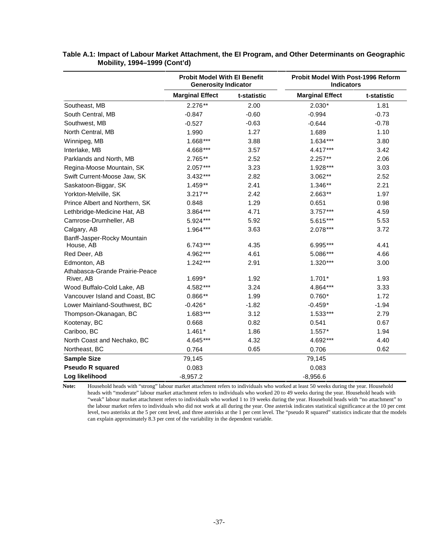|                                          | <b>Probit Model With El Benefit</b><br><b>Generosity Indicator</b> |             |                        | Probit Model With Post-1996 Reform<br><b>Indicators</b> |  |
|------------------------------------------|--------------------------------------------------------------------|-------------|------------------------|---------------------------------------------------------|--|
|                                          | <b>Marginal Effect</b>                                             | t-statistic | <b>Marginal Effect</b> | t-statistic                                             |  |
| Southeast, MB                            | $2.276**$                                                          | 2.00        | $2.030*$               | 1.81                                                    |  |
| South Central, MB                        | $-0.847$                                                           | $-0.60$     | $-0.994$               | $-0.73$                                                 |  |
| Southwest, MB                            | $-0.527$                                                           | $-0.63$     | $-0.644$               | $-0.78$                                                 |  |
| North Central, MB                        | 1.990                                                              | 1.27        | 1.689                  | 1.10                                                    |  |
| Winnipeg, MB                             | 1.668***                                                           | 3.88        | $1.634***$             | 3.80                                                    |  |
| Interlake, MB                            | 4.668***                                                           | 3.57        | 4.417***               | 3.42                                                    |  |
| Parklands and North, MB                  | 2.765**                                                            | 2.52        | $2.257**$              | 2.06                                                    |  |
| Regina-Moose Mountain, SK                | 2.057***                                                           | 3.23        | 1.928 ***              | 3.03                                                    |  |
| Swift Current-Moose Jaw, SK              | 3.432***                                                           | 2.82        | $3.062**$              | 2.52                                                    |  |
| Saskatoon-Biggar, SK                     | 1.459**                                                            | 2.41        | 1.346**                | 2.21                                                    |  |
| Yorkton-Melville, SK                     | $3.217**$                                                          | 2.42        | 2.663**                | 1.97                                                    |  |
| Prince Albert and Northern, SK           | 0.848                                                              | 1.29        | 0.651                  | 0.98                                                    |  |
| Lethbridge-Medicine Hat, AB              | 3.864***                                                           | 4.71        | $3.757***$             | 4.59                                                    |  |
| Camrose-Drumheller, AB                   | 5.924***                                                           | 5.92        | 5.615***               | 5.53                                                    |  |
| Calgary, AB                              | $1.964***$                                                         | 3.63        | 2.078***               | 3.72                                                    |  |
| Banff-Jasper-Rocky Mountain<br>House, AB | $6.743***$                                                         | 4.35        | 6.995***               | 4.41                                                    |  |
| Red Deer, AB                             | 4.962***                                                           | 4.61        | 5.086***               | 4.66                                                    |  |
| Edmonton, AB                             | $1.242***$                                                         | 2.91        | $1.320***$             | 3.00                                                    |  |
| Athabasca-Grande Prairie-Peace           |                                                                    |             |                        |                                                         |  |
| River, AB                                | 1.699*                                                             | 1.92        | $1.701*$               | 1.93                                                    |  |
| Wood Buffalo-Cold Lake, AB               | 4.582***                                                           | 3.24        | 4.864***               | 3.33                                                    |  |
| Vancouver Island and Coast, BC           | $0.866**$                                                          | 1.99        | $0.760*$               | 1.72                                                    |  |
| Lower Mainland-Southwest, BC             | $-0.426*$                                                          | $-1.82$     | $-0.459*$              | $-1.94$                                                 |  |
| Thompson-Okanagan, BC                    | $1.683***$                                                         | 3.12        | 1.533***               | 2.79                                                    |  |
| Kootenay, BC                             | 0.668                                                              | 0.82        | 0.541                  | 0.67                                                    |  |
| Cariboo, BC                              | $1.461*$                                                           | 1.86        | $1.557*$               | 1.94                                                    |  |
| North Coast and Nechako, BC              | 4.645***                                                           | 4.32        | 4.692***               | 4.40                                                    |  |
| Northeast, BC                            | 0.764                                                              | 0.65        | 0.706                  | 0.62                                                    |  |
| <b>Sample Size</b>                       | 79,145                                                             |             | 79,145                 |                                                         |  |
| <b>Pseudo R squared</b>                  | 0.083                                                              |             | 0.083                  |                                                         |  |
| Log likelihood                           | $-8,957.2$                                                         |             | $-8,956.6$             |                                                         |  |

**Table A.1: Impact of Labour Market Attachment, the EI Program, and Other Determinants on Geographic Mobility, 1994–1999 (Cont'd)** 

**Note:** Household heads with "strong" labour market attachment refers to individuals who worked at least 50 weeks during the year. Household heads with "moderate" labour market attachment refers to individuals who worked 20 to 49 weeks during the year. Household heads with "weak" labour market attachment refers to individuals who worked 1 to 19 weeks during the year. Household heads with "no attachment" to the labour market refers to individuals who did not work at all during the year. One asterisk indicates statistical significance at the 10 per cent level, two asterisks at the 5 per cent level, and three asterisks at the 1 per cent level. The "pseudo R squared" statistics indicate that the models can explain approximately 8.3 per cent of the variability in the dependent variable.